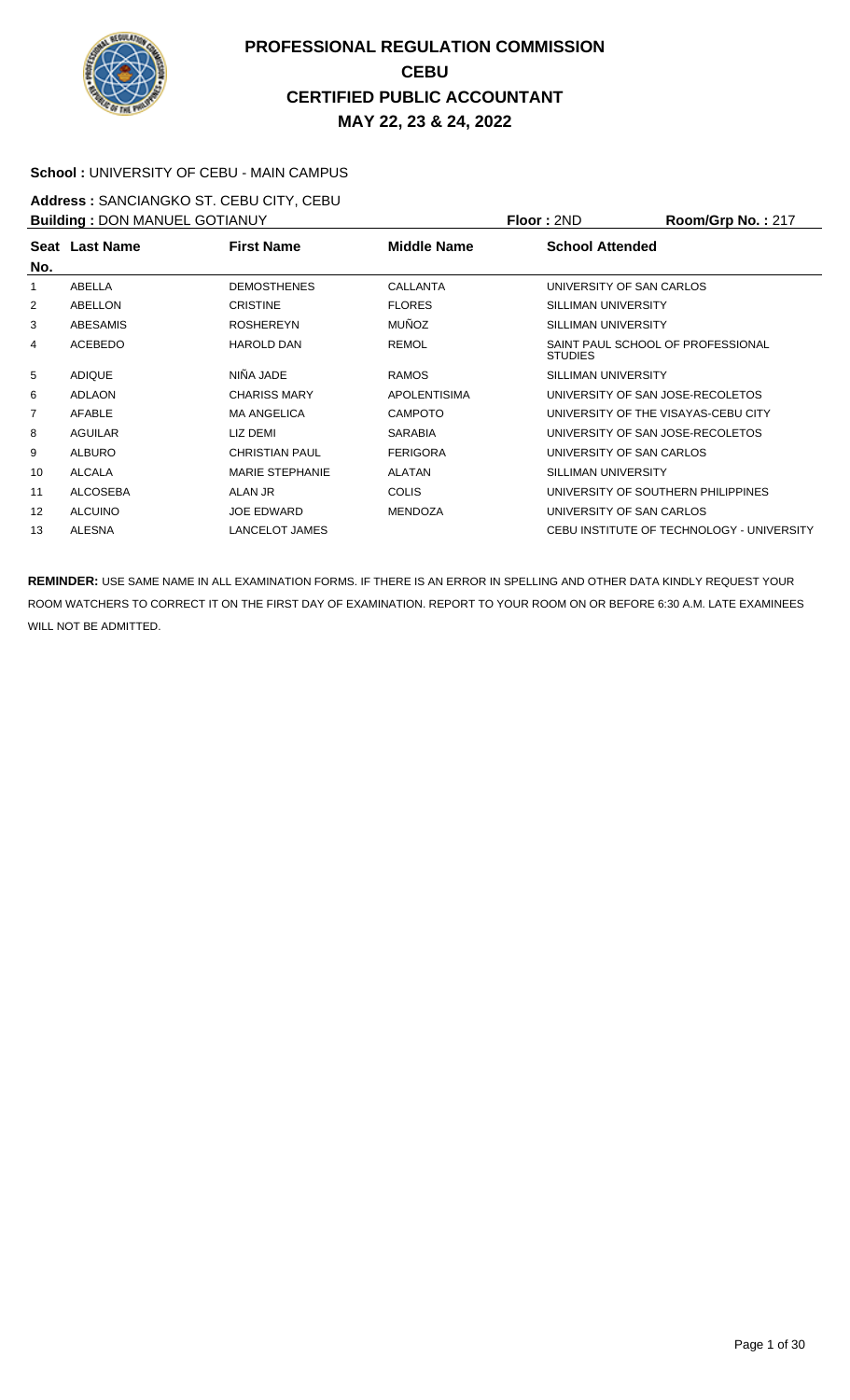

#### **School :** UNIVERSITY OF CEBU - MAIN CAMPUS

**Address :** SANCIANGKO ST. CEBU CITY, CEBU **Building : DON MANUEL GOTIANUY <b>Floor : 2ND Room/Grp No. : 217** 

| <b>BUILDING</b> . DOIT MARGE OO HARD I |                 |                        | 1 IUU . ZIVU<br>$\mathbf{N}$ |                                                     |  |
|----------------------------------------|-----------------|------------------------|------------------------------|-----------------------------------------------------|--|
|                                        | Seat Last Name  | <b>First Name</b>      | Middle Name                  | <b>School Attended</b>                              |  |
| No.                                    |                 |                        |                              |                                                     |  |
| 1                                      | ABELLA          | <b>DEMOSTHENES</b>     | CALLANTA                     | UNIVERSITY OF SAN CARLOS                            |  |
| 2                                      | ABELLON         | <b>CRISTINE</b>        | <b>FLORES</b>                | SILLIMAN UNIVERSITY                                 |  |
| 3                                      | ABESAMIS        | <b>ROSHEREYN</b>       | <b>MUÑOZ</b>                 | SILLIMAN UNIVERSITY                                 |  |
| 4                                      | <b>ACEBEDO</b>  | <b>HAROLD DAN</b>      | <b>REMOL</b>                 | SAINT PAUL SCHOOL OF PROFESSIONAL<br><b>STUDIES</b> |  |
| 5                                      | <b>ADIQUE</b>   | NIÑA JADE              | <b>RAMOS</b>                 | SILLIMAN UNIVERSITY                                 |  |
| 6                                      | <b>ADLAON</b>   | <b>CHARISS MARY</b>    | <b>APOLENTISIMA</b>          | UNIVERSITY OF SAN JOSE-RECOLETOS                    |  |
| $\overline{7}$                         | AFABLE          | <b>MA ANGELICA</b>     | <b>CAMPOTO</b>               | UNIVERSITY OF THE VISAYAS-CEBU CITY                 |  |
| 8                                      | <b>AGUILAR</b>  | LIZ DEMI               | <b>SARABIA</b>               | UNIVERSITY OF SAN JOSE-RECOLETOS                    |  |
| 9                                      | <b>ALBURO</b>   | <b>CHRISTIAN PAUL</b>  | <b>FERIGORA</b>              | UNIVERSITY OF SAN CARLOS                            |  |
| 10                                     | ALCALA          | <b>MARIE STEPHANIE</b> | <b>ALATAN</b>                | SILLIMAN UNIVERSITY                                 |  |
| 11                                     | <b>ALCOSEBA</b> | ALAN JR                | <b>COLIS</b>                 | UNIVERSITY OF SOUTHERN PHILIPPINES                  |  |
| $12 \overline{ }$                      | <b>ALCUINO</b>  | <b>JOE EDWARD</b>      | <b>MENDOZA</b>               | UNIVERSITY OF SAN CARLOS                            |  |
| 13                                     | <b>ALESNA</b>   | LANCELOT JAMES         |                              | CEBU INSTITUTE OF TECHNOLOGY - UNIVERSITY           |  |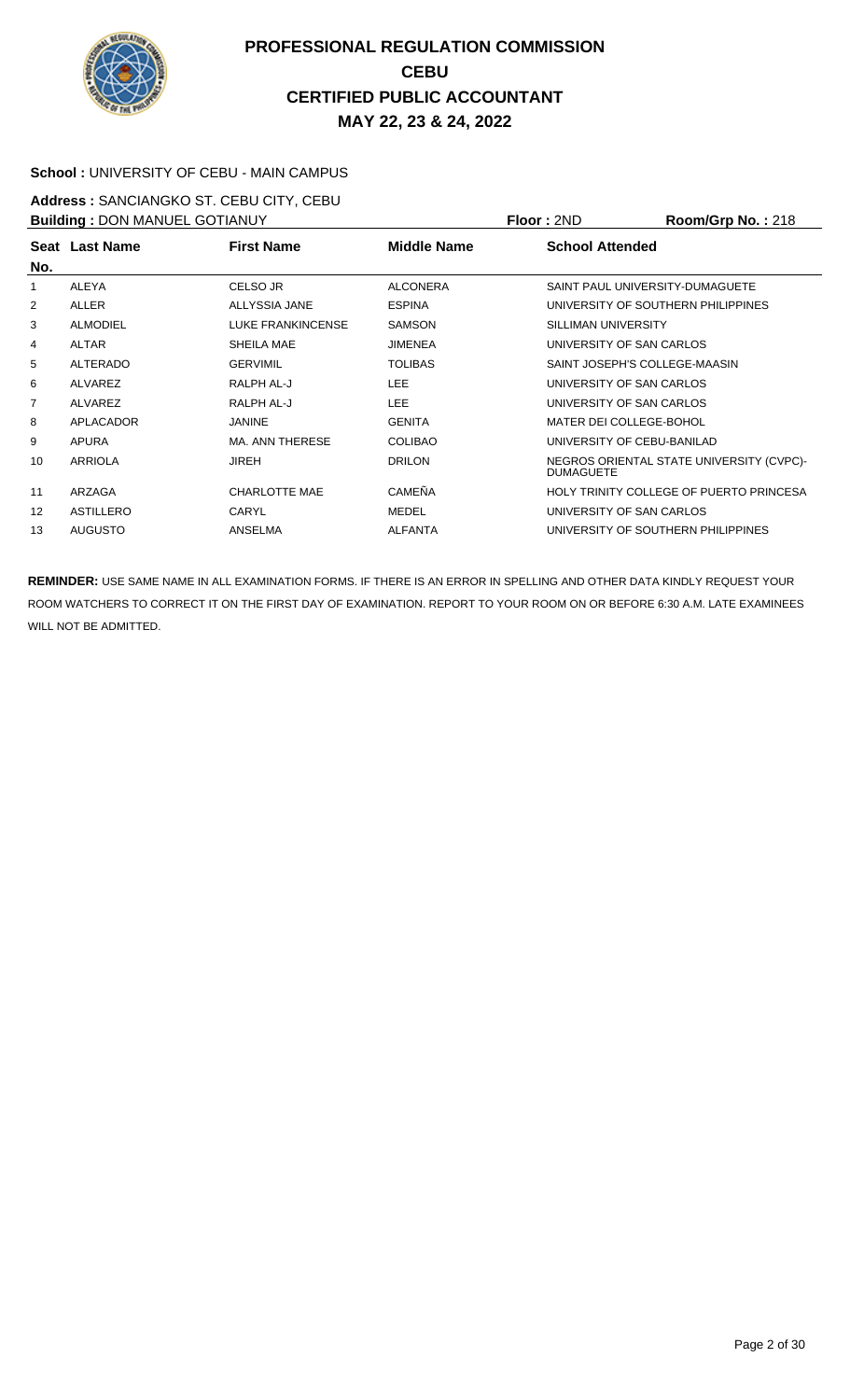

#### **School :** UNIVERSITY OF CEBU - MAIN CAMPUS

**Address :** SANCIANGKO ST. CEBU CITY, CEBU **Building :** DON MANUEL GOTIANUY **Floor :** 2ND **Room/Grp No. :** 218

| <b>BUILDING . DON MANUEL GOTTANOT</b> |                 |                      | FIUUI.ZIVU      | <b>NUUILIULU INU.</b> . Z 10 |                                          |  |
|---------------------------------------|-----------------|----------------------|-----------------|------------------------------|------------------------------------------|--|
|                                       | Seat Last Name  | <b>First Name</b>    | Middle Name     | <b>School Attended</b>       |                                          |  |
| No.                                   |                 |                      |                 |                              |                                          |  |
| 1                                     | ALEYA           | CELSO JR             | <b>ALCONERA</b> |                              | SAINT PAUL UNIVERSITY-DUMAGUETE          |  |
| 2                                     | <b>ALLER</b>    | ALLYSSIA JANE        | <b>ESPINA</b>   |                              | UNIVERSITY OF SOUTHERN PHILIPPINES       |  |
| 3                                     | <b>ALMODIEL</b> | LUKE FRANKINCENSE    | <b>SAMSON</b>   | SILLIMAN UNIVERSITY          |                                          |  |
| 4                                     | <b>ALTAR</b>    | SHEILA MAE           | <b>JIMENEA</b>  | UNIVERSITY OF SAN CARLOS     |                                          |  |
| 5                                     | ALTERADO        | <b>GERVIMIL</b>      | <b>TOLIBAS</b>  |                              | SAINT JOSEPH'S COLLEGE-MAASIN            |  |
| 6                                     | <b>ALVAREZ</b>  | RALPH AL-J           | <b>LEE</b>      | UNIVERSITY OF SAN CARLOS     |                                          |  |
| $\overline{7}$                        | <b>ALVAREZ</b>  | RALPH AL-J           | <b>LEE</b>      | UNIVERSITY OF SAN CARLOS     |                                          |  |
| 8                                     | APLACADOR       | <b>JANINE</b>        | <b>GENITA</b>   | MATER DEI COLLEGE-BOHOL      |                                          |  |
| 9                                     | APURA           | MA. ANN THERESE      | <b>COLIBAO</b>  |                              | UNIVERSITY OF CEBU-BANILAD               |  |
| 10                                    | ARRIOLA         | JIREH                | <b>DRILON</b>   | <b>DUMAGUETE</b>             | NEGROS ORIENTAL STATE UNIVERSITY (CVPC)- |  |
| 11                                    | ARZAGA          | <b>CHARLOTTE MAE</b> | <b>CAMEÑA</b>   |                              | HOLY TRINITY COLLEGE OF PUERTO PRINCESA  |  |
| 12                                    | ASTILLERO       | CARYL                | MEDEL           |                              | UNIVERSITY OF SAN CARLOS                 |  |
| 13                                    | <b>AUGUSTO</b>  | <b>ANSELMA</b>       | <b>ALFANTA</b>  |                              | UNIVERSITY OF SOUTHERN PHILIPPINES       |  |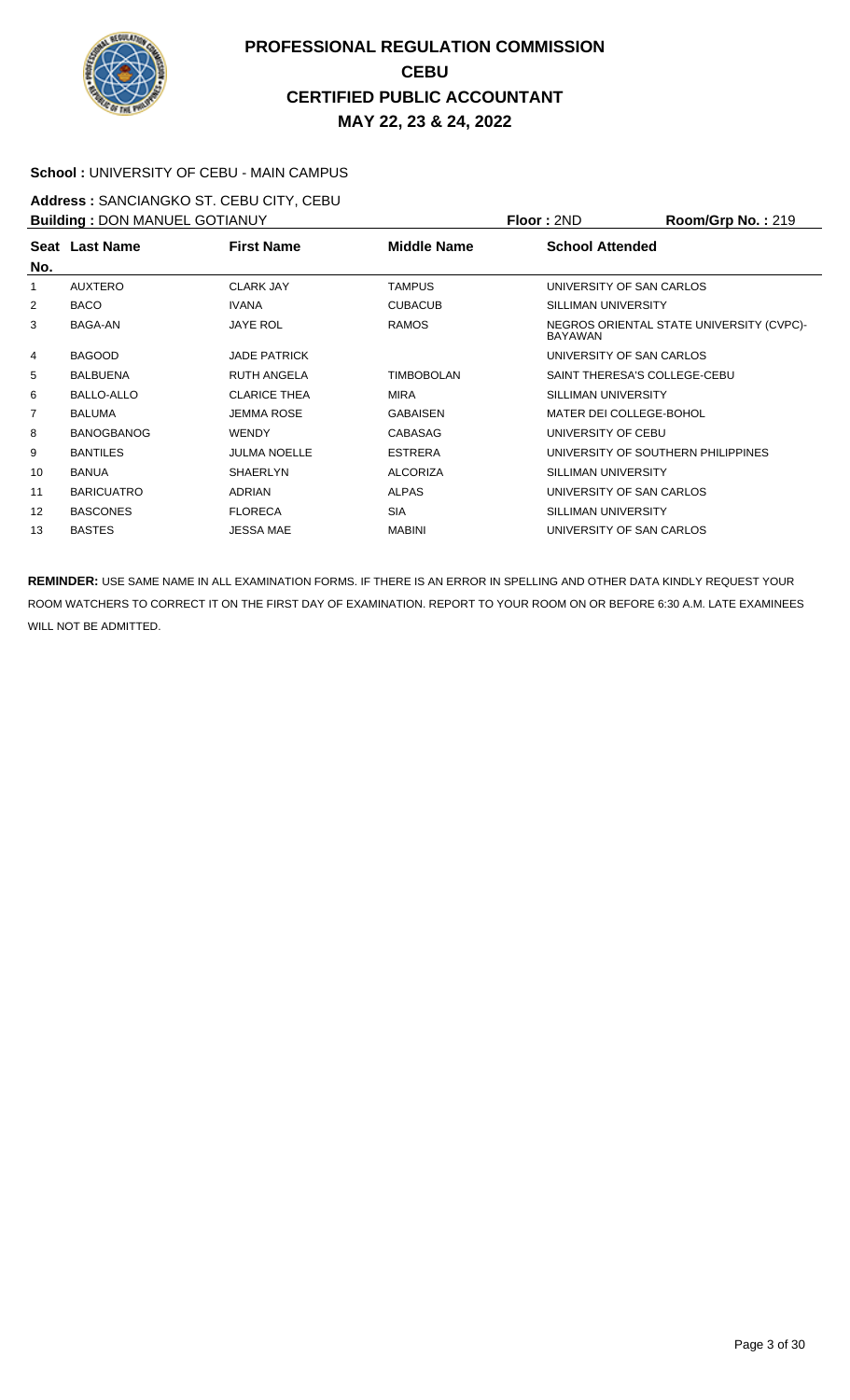

#### **School :** UNIVERSITY OF CEBU - MAIN CAMPUS

**Address :** SANCIANGKO ST. CEBU CITY, CEBU **Building :** DON MANUEL GOTIANUY **Floor :** 2ND **Room/Grp No. :** 219

| <b>BUILDING . DOIN MANUEL GOT IANUT</b> |                   | <b>FIUUL ALITU</b>  | <b>NUUIIIUIU INU.</b> . 219 |                                                     |                                    |
|-----------------------------------------|-------------------|---------------------|-----------------------------|-----------------------------------------------------|------------------------------------|
|                                         | Seat Last Name    | <b>First Name</b>   | Middle Name                 | <b>School Attended</b>                              |                                    |
| No.                                     |                   |                     |                             |                                                     |                                    |
|                                         | AUXTERO           | <b>CLARK JAY</b>    | <b>TAMPUS</b>               |                                                     | UNIVERSITY OF SAN CARLOS           |
| 2                                       | <b>BACO</b>       | <b>IVANA</b>        | <b>CUBACUB</b>              | SILLIMAN UNIVERSITY                                 |                                    |
| 3                                       | BAGA-AN           | <b>JAYE ROL</b>     | <b>RAMOS</b>                | NEGROS ORIENTAL STATE UNIVERSITY (CVPC)-<br>BAYAWAN |                                    |
| 4                                       | <b>BAGOOD</b>     | <b>JADE PATRICK</b> |                             | UNIVERSITY OF SAN CARLOS                            |                                    |
| 5                                       | <b>BALBUENA</b>   | <b>RUTH ANGELA</b>  | <b>TIMBOBOLAN</b>           |                                                     | SAINT THERESA'S COLLEGE-CEBU       |
| 6                                       | <b>BALLO-ALLO</b> | <b>CLARICE THEA</b> | <b>MIRA</b>                 | SILLIMAN UNIVERSITY                                 |                                    |
| 7                                       | BALUMA            | <b>JEMMA ROSE</b>   | <b>GABAISEN</b>             |                                                     | MATER DEI COLLEGE-BOHOL            |
| 8                                       | <b>BANOGBANOG</b> | <b>WENDY</b>        | CABASAG                     | UNIVERSITY OF CEBU                                  |                                    |
| 9                                       | <b>BANTILES</b>   | <b>JULMA NOELLE</b> | <b>ESTRERA</b>              |                                                     | UNIVERSITY OF SOUTHERN PHILIPPINES |
| 10                                      | <b>BANUA</b>      | <b>SHAERLYN</b>     | <b>ALCORIZA</b>             | SILLIMAN UNIVERSITY                                 |                                    |
| 11                                      | <b>BARICUATRO</b> | <b>ADRIAN</b>       | <b>ALPAS</b>                | UNIVERSITY OF SAN CARLOS                            |                                    |
| 12                                      | <b>BASCONES</b>   | <b>FLORECA</b>      | <b>SIA</b>                  | SILLIMAN UNIVERSITY                                 |                                    |
| 13                                      | <b>BASTES</b>     | <b>JESSA MAE</b>    | <b>MABINI</b>               |                                                     | UNIVERSITY OF SAN CARLOS           |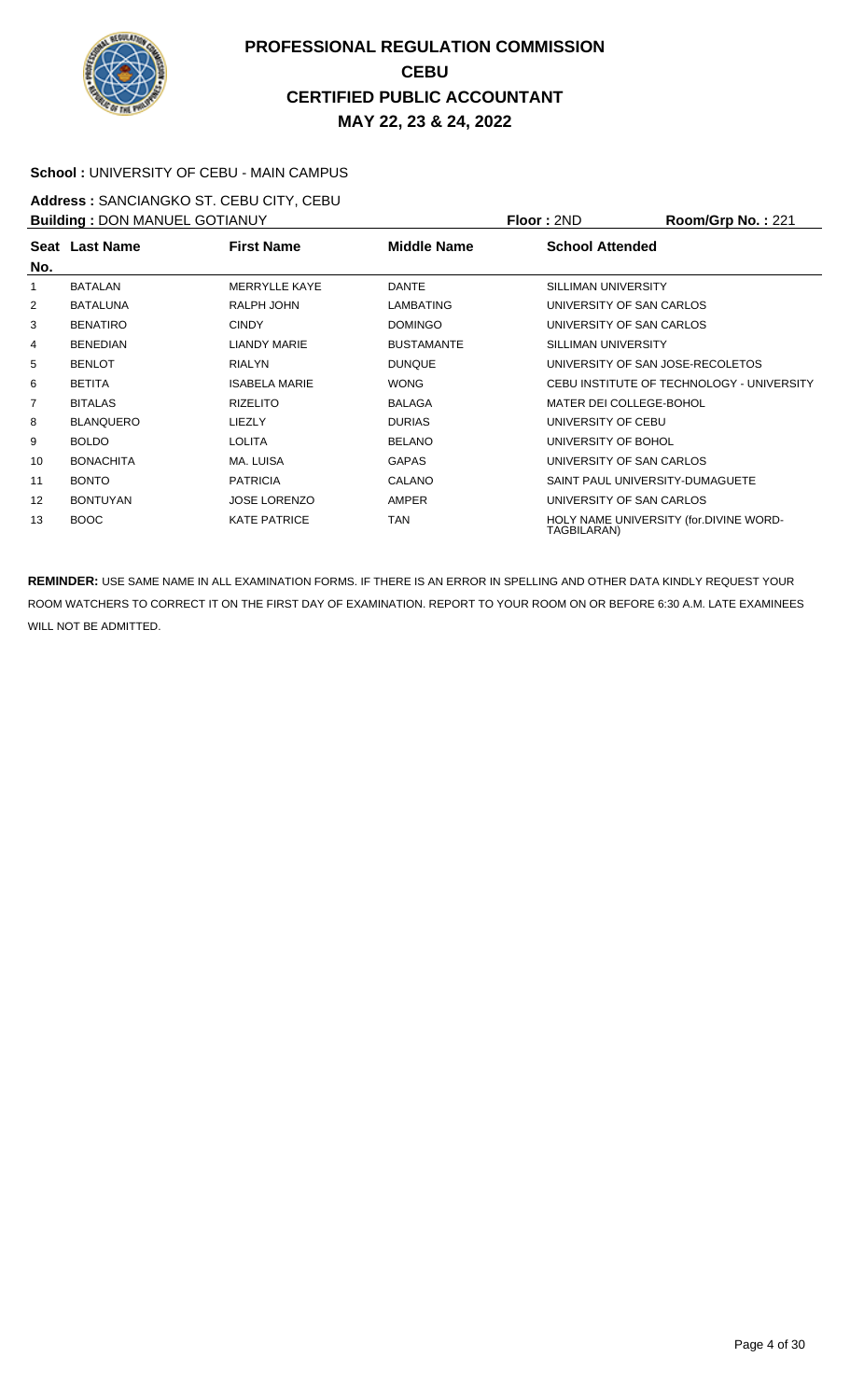

#### **School :** UNIVERSITY OF CEBU - MAIN CAMPUS

**Address :** SANCIANGKO ST. CEBU CITY, CEBU **Building : DON MANUEL GOTIANUY <b>Floor : 2ND Room/Grp No. : 221** 

| <b>DUITURITY : DOIN MANULL OUT IANUT</b> |                  |                      |                    | 1 IUU . ZI TU<br>110011110111101.221                  |  |  |
|------------------------------------------|------------------|----------------------|--------------------|-------------------------------------------------------|--|--|
| No.                                      | Seat Last Name   | <b>First Name</b>    | <b>Middle Name</b> | <b>School Attended</b>                                |  |  |
| 1                                        | <b>BATALAN</b>   | <b>MERRYLLE KAYE</b> | <b>DANTE</b>       | SILLIMAN UNIVERSITY                                   |  |  |
|                                          |                  |                      |                    |                                                       |  |  |
| 2                                        | <b>BATALUNA</b>  | RALPH JOHN           | LAMBATING          | UNIVERSITY OF SAN CARLOS                              |  |  |
| 3                                        | <b>BENATIRO</b>  | <b>CINDY</b>         | <b>DOMINGO</b>     | UNIVERSITY OF SAN CARLOS                              |  |  |
| 4                                        | <b>BENEDIAN</b>  | <b>LIANDY MARIE</b>  | <b>BUSTAMANTE</b>  | SILLIMAN UNIVERSITY                                   |  |  |
| 5                                        | <b>BENLOT</b>    | <b>RIALYN</b>        | <b>DUNQUE</b>      | UNIVERSITY OF SAN JOSE-RECOLETOS                      |  |  |
| 6                                        | <b>BETITA</b>    | <b>ISABELA MARIE</b> | <b>WONG</b>        | CEBU INSTITUTE OF TECHNOLOGY - UNIVERSITY             |  |  |
| 7                                        | <b>BITALAS</b>   | <b>RIZELITO</b>      | <b>BALAGA</b>      | MATER DEI COLLEGE-BOHOL                               |  |  |
| 8                                        | <b>BLANQUERO</b> | LIEZLY               | <b>DURIAS</b>      | UNIVERSITY OF CEBU                                    |  |  |
| 9                                        | <b>BOLDO</b>     | <b>LOLITA</b>        | <b>BELANO</b>      | UNIVERSITY OF BOHOL                                   |  |  |
| 10                                       | <b>BONACHITA</b> | MA. LUISA            | <b>GAPAS</b>       | UNIVERSITY OF SAN CARLOS                              |  |  |
| 11                                       | <b>BONTO</b>     | <b>PATRICIA</b>      | CALANO             | SAINT PAUL UNIVERSITY-DUMAGUETE                       |  |  |
| 12                                       | <b>BONTUYAN</b>  | <b>JOSE LORENZO</b>  | <b>AMPER</b>       | UNIVERSITY OF SAN CARLOS                              |  |  |
| 13                                       | BOOC             | <b>KATE PATRICE</b>  | TAN                | HOLY NAME UNIVERSITY (for.DIVINE WORD-<br>TAGBILARAN) |  |  |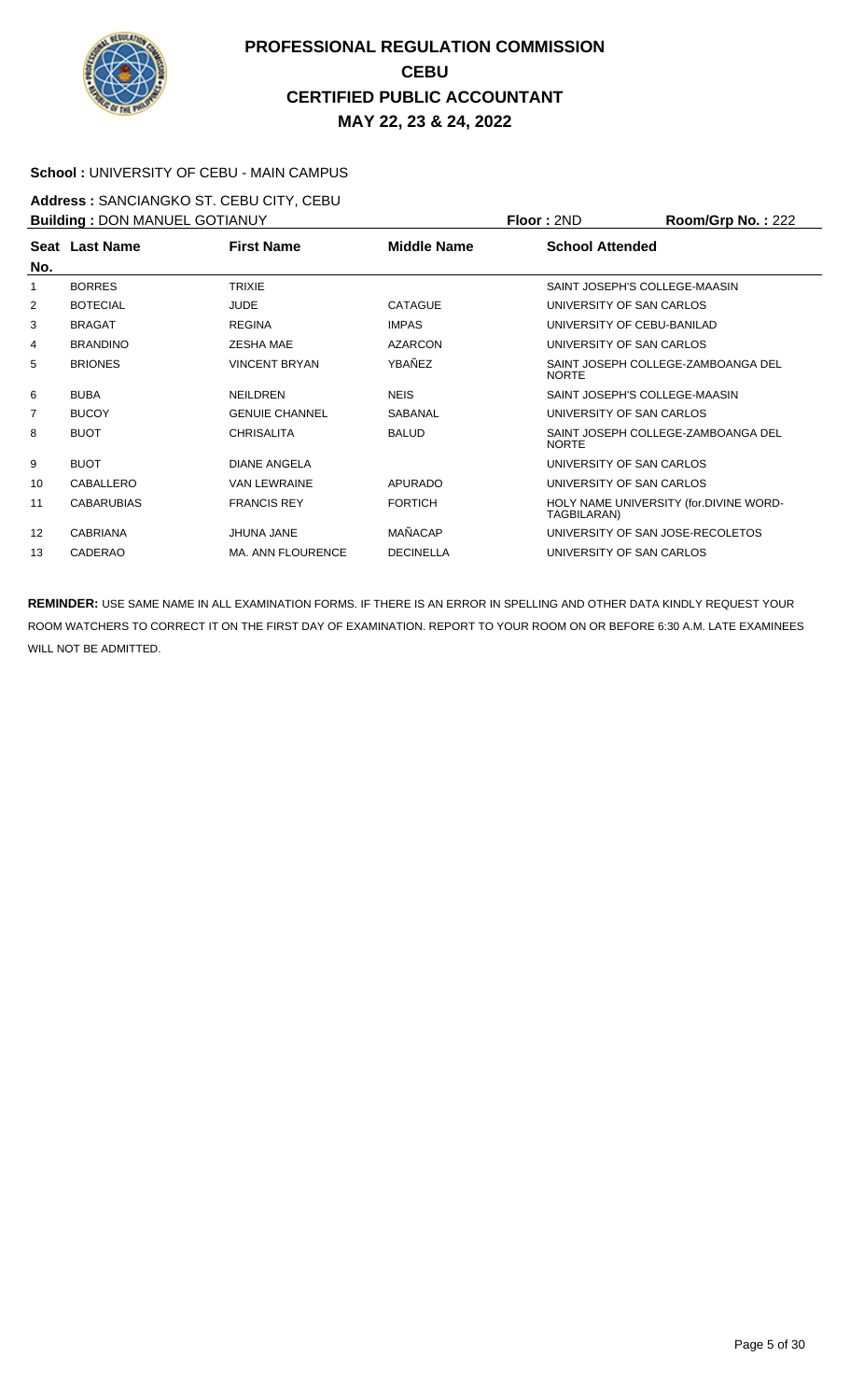

#### **School :** UNIVERSITY OF CEBU - MAIN CAMPUS

**Address :** SANCIANGKO ST. CEBU CITY, CEBU **Building : DON MANUEL GOTIANUY <b>Floor : 2ND Room/Grp No. : 222** 

| <b>BUILDING . DON MANULL OO HANOT</b> |                   |                          |                    | 1 IUU . ZI TU<br><b>INVUILIUI DI NU. . ZZZ</b>        |  |  |
|---------------------------------------|-------------------|--------------------------|--------------------|-------------------------------------------------------|--|--|
|                                       | Seat Last Name    | <b>First Name</b>        | <b>Middle Name</b> | <b>School Attended</b>                                |  |  |
| No.                                   |                   |                          |                    |                                                       |  |  |
| 1                                     | <b>BORRES</b>     | <b>TRIXIE</b>            |                    | SAINT JOSEPH'S COLLEGE-MAASIN                         |  |  |
| 2                                     | <b>BOTECIAL</b>   | <b>JUDE</b>              | <b>CATAGUE</b>     | UNIVERSITY OF SAN CARLOS                              |  |  |
| 3                                     | <b>BRAGAT</b>     | <b>REGINA</b>            | <b>IMPAS</b>       | UNIVERSITY OF CEBU-BANILAD                            |  |  |
| 4                                     | <b>BRANDINO</b>   | <b>ZESHA MAE</b>         | <b>AZARCON</b>     | UNIVERSITY OF SAN CARLOS                              |  |  |
| 5                                     | <b>BRIONES</b>    | <b>VINCENT BRYAN</b>     | YBAÑEZ             | SAINT JOSEPH COLLEGE-ZAMBOANGA DEL<br><b>NORTE</b>    |  |  |
| 6                                     | <b>BUBA</b>       | <b>NEILDREN</b>          | <b>NEIS</b>        | SAINT JOSEPH'S COLLEGE-MAASIN                         |  |  |
| 7                                     | <b>BUCOY</b>      | <b>GENUIE CHANNEL</b>    | SABANAL            | UNIVERSITY OF SAN CARLOS                              |  |  |
| 8                                     | <b>BUOT</b>       | <b>CHRISALITA</b>        | <b>BALUD</b>       | SAINT JOSEPH COLLEGE-ZAMBOANGA DEL<br><b>NORTE</b>    |  |  |
| 9                                     | <b>BUOT</b>       | <b>DIANE ANGELA</b>      |                    | UNIVERSITY OF SAN CARLOS                              |  |  |
| 10                                    | CABALLERO         | <b>VAN LEWRAINE</b>      | <b>APURADO</b>     | UNIVERSITY OF SAN CARLOS                              |  |  |
| 11                                    | <b>CABARUBIAS</b> | <b>FRANCIS REY</b>       | <b>FORTICH</b>     | HOLY NAME UNIVERSITY (for.DIVINE WORD-<br>TAGBILARAN) |  |  |
| 12                                    | <b>CABRIANA</b>   | <b>JHUNA JANE</b>        | MAÑACAP            | UNIVERSITY OF SAN JOSE-RECOLETOS                      |  |  |
| 13                                    | CADERAO           | <b>MA. ANN FLOURENCE</b> | <b>DECINELLA</b>   | UNIVERSITY OF SAN CARLOS                              |  |  |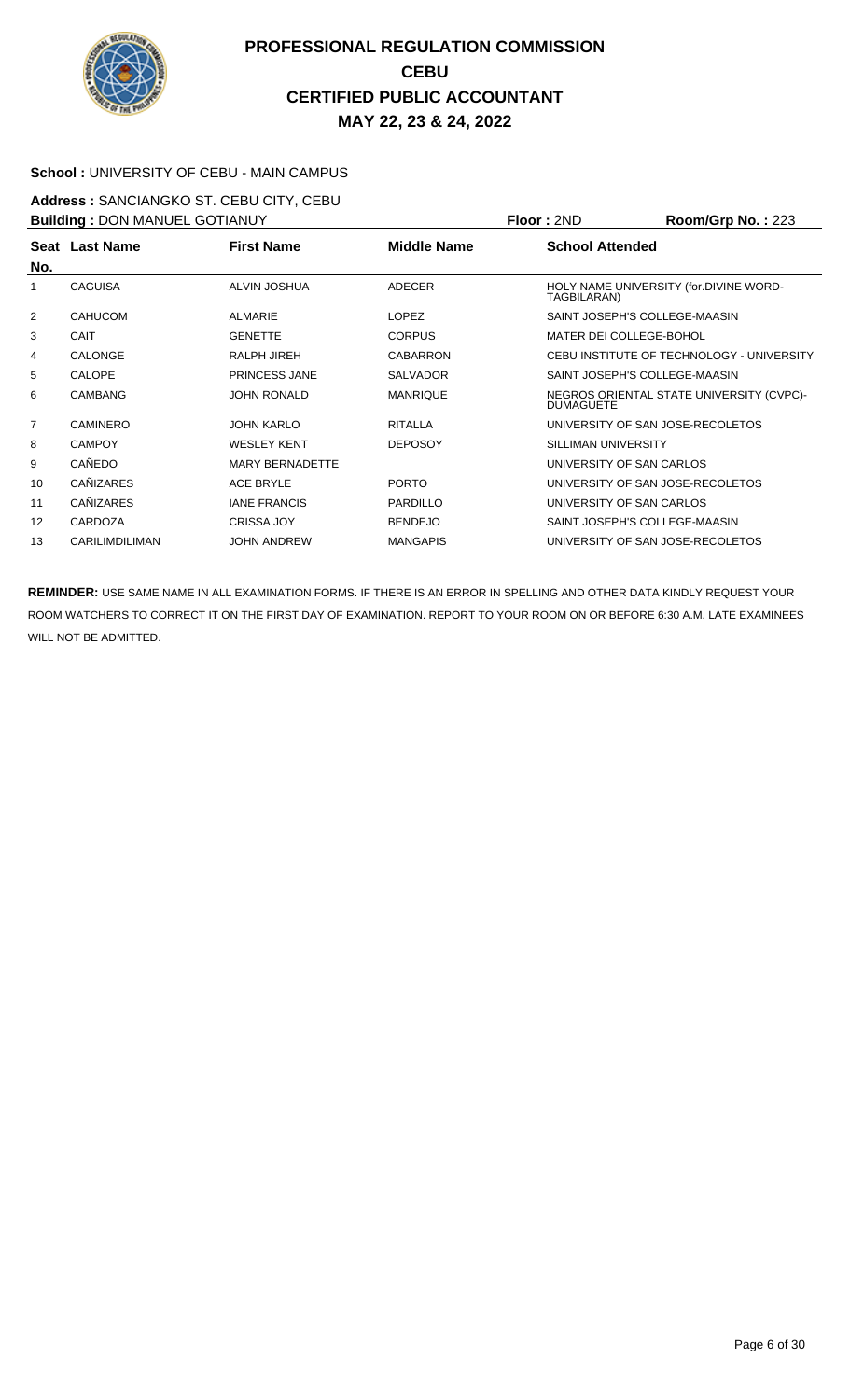

#### **School :** UNIVERSITY OF CEBU - MAIN CAMPUS

**Address :** SANCIANGKO ST. CEBU CITY, CEBU

| <b>Building: DON MANUEL GOTIANUY</b> |                       |                        |                    | Floor: 2ND               | Room/Grp No.: 223                         |
|--------------------------------------|-----------------------|------------------------|--------------------|--------------------------|-------------------------------------------|
|                                      | Seat Last Name        | <b>First Name</b>      | <b>Middle Name</b> | <b>School Attended</b>   |                                           |
| No.                                  |                       |                        |                    |                          |                                           |
| 1                                    | <b>CAGUISA</b>        | <b>ALVIN JOSHUA</b>    | <b>ADECER</b>      | TAGBILARAN)              | HOLY NAME UNIVERSITY (for.DIVINE WORD-    |
| 2                                    | <b>CAHUCOM</b>        | ALMARIE                | <b>LOPEZ</b>       |                          | SAINT JOSEPH'S COLLEGE-MAASIN             |
| 3                                    | <b>CAIT</b>           | <b>GENETTE</b>         | <b>CORPUS</b>      | MATER DEI COLLEGE-BOHOL  |                                           |
| 4                                    | <b>CALONGE</b>        | RALPH JIREH            | <b>CABARRON</b>    |                          | CEBU INSTITUTE OF TECHNOLOGY - UNIVERSITY |
| 5                                    | <b>CALOPE</b>         | PRINCESS JANE          | <b>SALVADOR</b>    |                          | SAINT JOSEPH'S COLLEGE-MAASIN             |
| 6                                    | <b>CAMBANG</b>        | <b>JOHN RONALD</b>     | <b>MANRIQUE</b>    | <b>DUMAGUETE</b>         | NEGROS ORIENTAL STATE UNIVERSITY (CVPC)-  |
| $\overline{7}$                       | <b>CAMINERO</b>       | <b>JOHN KARLO</b>      | <b>RITALLA</b>     |                          | UNIVERSITY OF SAN JOSE-RECOLETOS          |
| 8                                    | <b>CAMPOY</b>         | <b>WESLEY KENT</b>     | <b>DEPOSOY</b>     | SILLIMAN UNIVERSITY      |                                           |
| 9                                    | CAÑEDO                | <b>MARY BERNADETTE</b> |                    | UNIVERSITY OF SAN CARLOS |                                           |
| 10                                   | <b>CANIZARES</b>      | ACE BRYLE              | <b>PORTO</b>       |                          | UNIVERSITY OF SAN JOSE-RECOLETOS          |
| 11                                   | <b>CAÑIZARES</b>      | <b>IANE FRANCIS</b>    | <b>PARDILLO</b>    | UNIVERSITY OF SAN CARLOS |                                           |
| 12                                   | CARDOZA               | <b>CRISSA JOY</b>      | <b>BENDEJO</b>     |                          | SAINT JOSEPH'S COLLEGE-MAASIN             |
| 13                                   | <b>CARILIMDILIMAN</b> | <b>JOHN ANDREW</b>     | <b>MANGAPIS</b>    |                          | UNIVERSITY OF SAN JOSE-RECOLETOS          |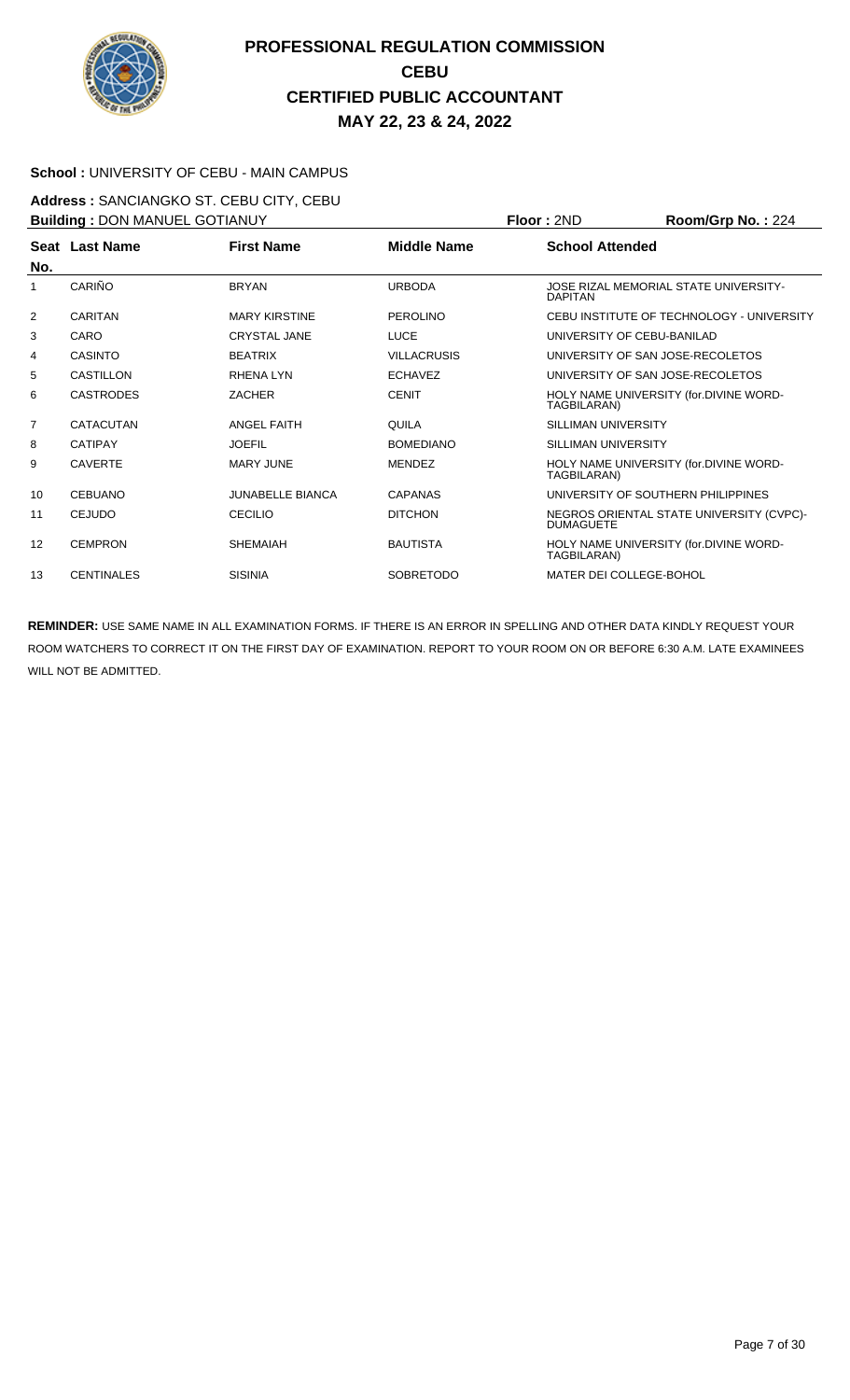

#### **School :** UNIVERSITY OF CEBU - MAIN CAMPUS

**Address :** SANCIANGKO ST. CEBU CITY, CEBU **Building :** DON MANUEL GOTIANUY **Floor :** 2ND **Room/Grp No. :** 224

| <b>BUILDING . DON MANUEL GOTTANUT</b> |                   |                         | FIUUI . ZIVU       | <b>NUUIIIUI U IVU.</b> . ZZ4 |                                           |
|---------------------------------------|-------------------|-------------------------|--------------------|------------------------------|-------------------------------------------|
|                                       | Seat Last Name    | <b>First Name</b>       | <b>Middle Name</b> | <b>School Attended</b>       |                                           |
| No.                                   |                   |                         |                    |                              |                                           |
| 1                                     | CARIÑO            | <b>BRYAN</b>            | <b>URBODA</b>      | <b>DAPITAN</b>               | JOSE RIZAL MEMORIAL STATE UNIVERSITY-     |
| 2                                     | <b>CARITAN</b>    | <b>MARY KIRSTINE</b>    | <b>PEROLINO</b>    |                              | CEBU INSTITUTE OF TECHNOLOGY - UNIVERSITY |
| 3                                     | CARO              | <b>CRYSTAL JANE</b>     | <b>LUCE</b>        |                              | UNIVERSITY OF CEBU-BANILAD                |
| 4                                     | <b>CASINTO</b>    | <b>BEATRIX</b>          | <b>VILLACRUSIS</b> |                              | UNIVERSITY OF SAN JOSE-RECOLETOS          |
| 5                                     | <b>CASTILLON</b>  | RHENA LYN               | <b>ECHAVEZ</b>     |                              | UNIVERSITY OF SAN JOSE-RECOLETOS          |
| 6                                     | <b>CASTRODES</b>  | <b>ZACHER</b>           | <b>CENIT</b>       | TAGBILARAN)                  | HOLY NAME UNIVERSITY (for.DIVINE WORD-    |
| 7                                     | <b>CATACUTAN</b>  | <b>ANGEL FAITH</b>      | QUILA              | SILLIMAN UNIVERSITY          |                                           |
| 8                                     | <b>CATIPAY</b>    | <b>JOEFIL</b>           | <b>BOMEDIANO</b>   | SILLIMAN UNIVERSITY          |                                           |
| 9                                     | <b>CAVERTE</b>    | <b>MARY JUNE</b>        | <b>MENDEZ</b>      | TAGBILARAN)                  | HOLY NAME UNIVERSITY (for.DIVINE WORD-    |
| 10                                    | <b>CEBUANO</b>    | <b>JUNABELLE BIANCA</b> | <b>CAPANAS</b>     |                              | UNIVERSITY OF SOUTHERN PHILIPPINES        |
| 11                                    | <b>CEJUDO</b>     | <b>CECILIO</b>          | <b>DITCHON</b>     | <b>DUMAGUETE</b>             | NEGROS ORIENTAL STATE UNIVERSITY (CVPC)-  |
| 12                                    | <b>CEMPRON</b>    | <b>SHEMAIAH</b>         | <b>BAUTISTA</b>    | TAGBILARAN)                  | HOLY NAME UNIVERSITY (for.DIVINE WORD-    |
| 13                                    | <b>CENTINALES</b> | <b>SISINIA</b>          | <b>SOBRETODO</b>   | MATER DEI COLLEGE-BOHOL      |                                           |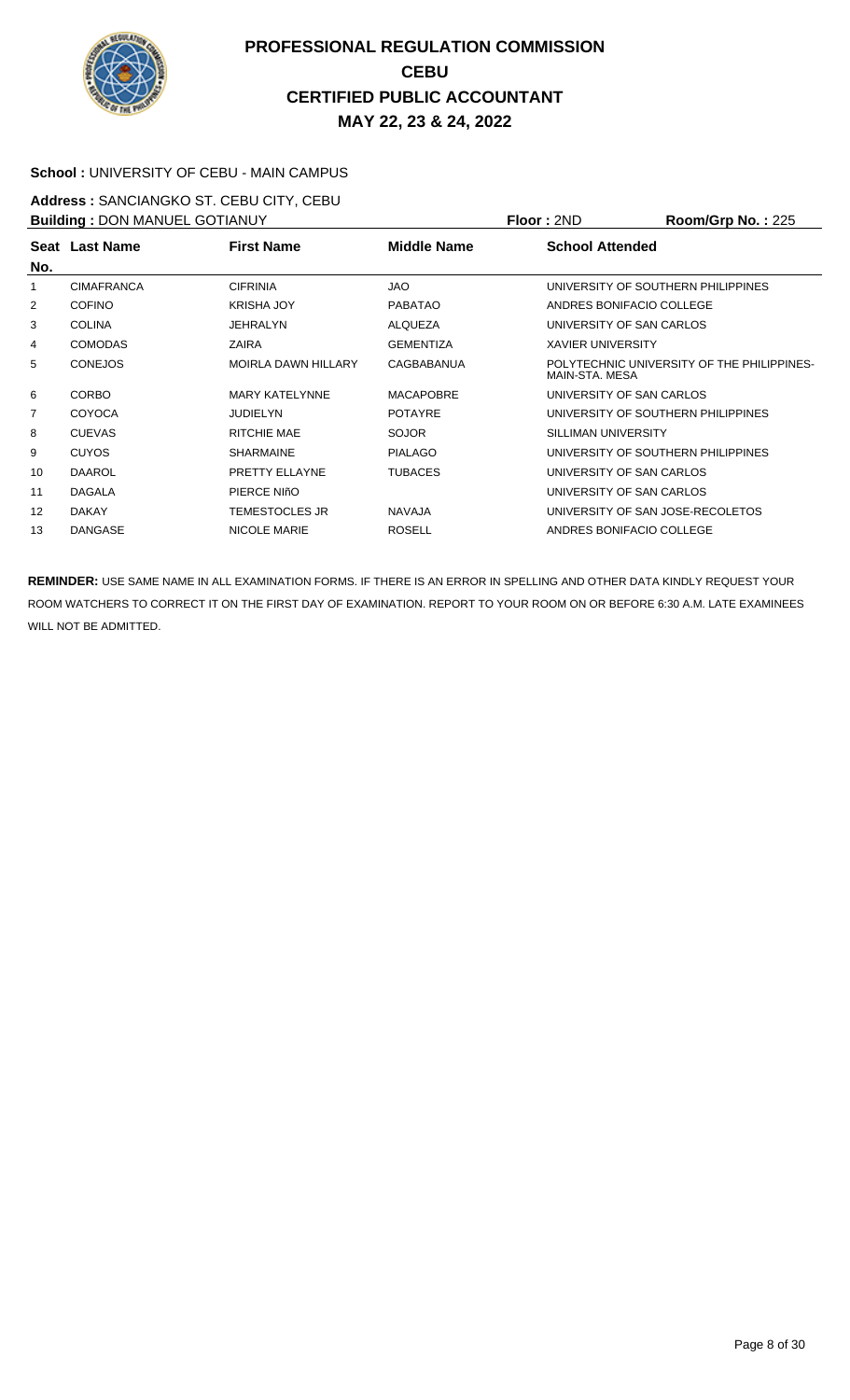

#### **School :** UNIVERSITY OF CEBU - MAIN CAMPUS

**Address :** SANCIANGKO ST. CEBU CITY, CEBU **Building : DON MANUEL GOTIANUY <b>Floor : 2ND Room/Grp No. : 225** 

| <b>BUILDING</b> . DOIN MANUEL GOTIANUT |                   |                            | שטו . בוז<br><b>NUVILIAU DI NU.</b> . ZZJ |                          |                                                              |  |
|----------------------------------------|-------------------|----------------------------|-------------------------------------------|--------------------------|--------------------------------------------------------------|--|
|                                        | Seat Last Name    | <b>First Name</b>          | Middle Name                               | <b>School Attended</b>   |                                                              |  |
| No.                                    |                   |                            |                                           |                          |                                                              |  |
| 1                                      | <b>CIMAFRANCA</b> | <b>CIFRINIA</b>            | <b>JAO</b>                                |                          | UNIVERSITY OF SOUTHERN PHILIPPINES                           |  |
| 2                                      | <b>COFINO</b>     | <b>KRISHA JOY</b>          | <b>PABATAO</b>                            | ANDRES BONIFACIO COLLEGE |                                                              |  |
| 3                                      | <b>COLINA</b>     | JEHRALYN                   | ALQUEZA                                   | UNIVERSITY OF SAN CARLOS |                                                              |  |
| 4                                      | <b>COMODAS</b>    | ZAIRA                      | <b>GEMENTIZA</b>                          | <b>XAVIER UNIVERSITY</b> |                                                              |  |
| 5                                      | <b>CONEJOS</b>    | <b>MOIRLA DAWN HILLARY</b> | <b>CAGBABANUA</b>                         |                          | POLYTECHNIC UNIVERSITY OF THE PHILIPPINES-<br>MAIN-STA. MESA |  |
| 6                                      | <b>CORBO</b>      | <b>MARY KATELYNNE</b>      | <b>MACAPOBRE</b>                          | UNIVERSITY OF SAN CARLOS |                                                              |  |
| 7                                      | <b>COYOCA</b>     | <b>JUDIELYN</b>            | <b>POTAYRE</b>                            |                          | UNIVERSITY OF SOUTHERN PHILIPPINES                           |  |
| 8                                      | <b>CUEVAS</b>     | RITCHIE MAE                | <b>SOJOR</b>                              | SILLIMAN UNIVERSITY      |                                                              |  |
| 9                                      | <b>CUYOS</b>      | <b>SHARMAINE</b>           | <b>PIALAGO</b>                            |                          | UNIVERSITY OF SOUTHERN PHILIPPINES                           |  |
| 10                                     | <b>DAAROL</b>     | PRETTY ELLAYNE             | <b>TUBACES</b>                            | UNIVERSITY OF SAN CARLOS |                                                              |  |
| 11                                     | <b>DAGALA</b>     | PIERCE NIñO                |                                           | UNIVERSITY OF SAN CARLOS |                                                              |  |
| 12                                     | <b>DAKAY</b>      | TEMESTOCLES JR             | <b>NAVAJA</b>                             |                          | UNIVERSITY OF SAN JOSE-RECOLETOS                             |  |
| 13                                     | <b>DANGASE</b>    | NICOLE MARIE               | <b>ROSELL</b>                             | ANDRES BONIFACIO COLLEGE |                                                              |  |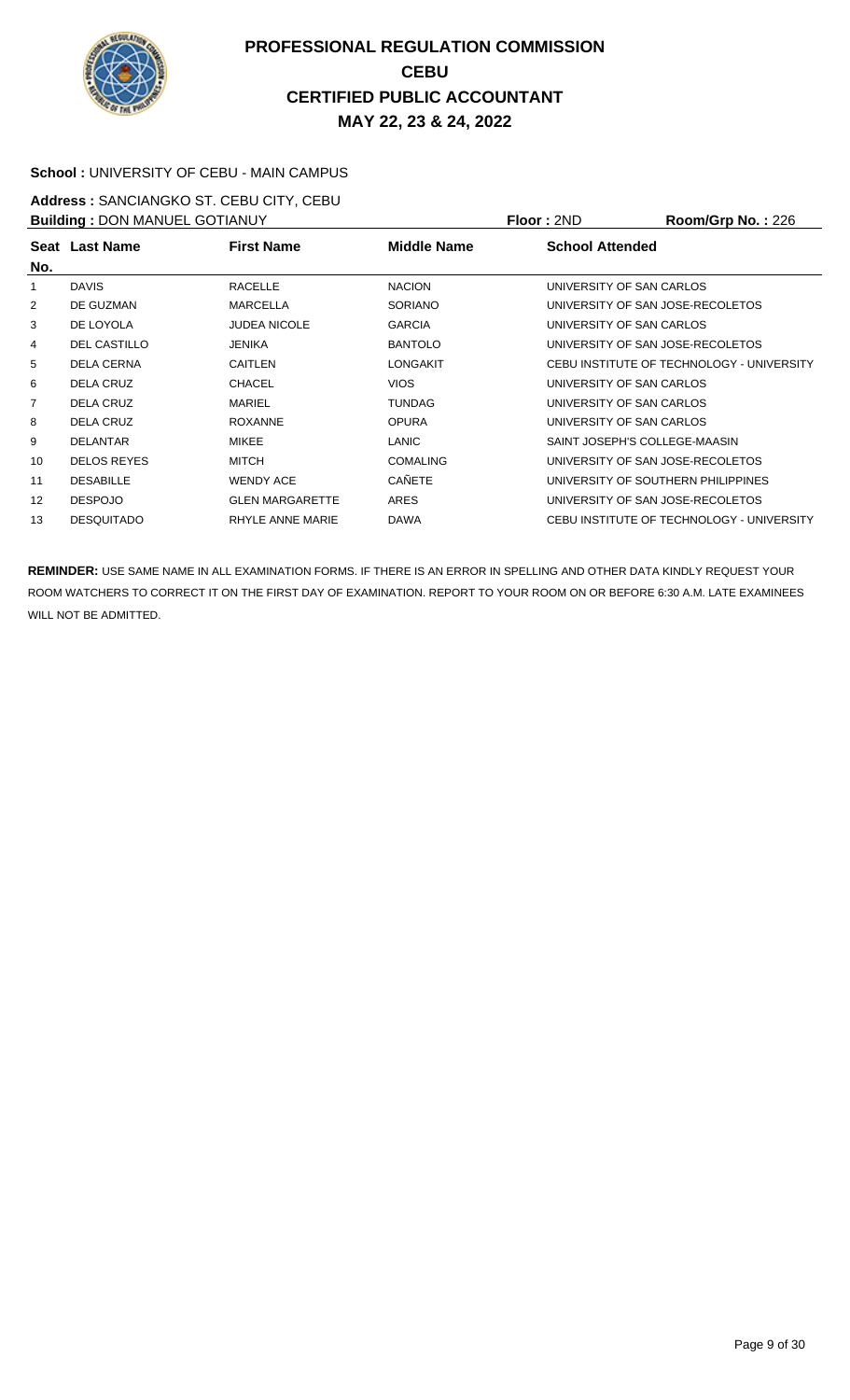

#### **School :** UNIVERSITY OF CEBU - MAIN CAMPUS

**Address :** SANCIANGKO ST. CEBU CITY, CEBU **Building :** DON MANUEL GOTIANUY **Floor :** 2ND **Room/Grp No. :** 226

| <b>DUITURITY : DOIN MANULL OUT IANUT</b> |                     |                        |                    | 1 IUU . ZI V<br>110011110111101.220       |
|------------------------------------------|---------------------|------------------------|--------------------|-------------------------------------------|
| No.                                      | Seat Last Name      | <b>First Name</b>      | <b>Middle Name</b> | <b>School Attended</b>                    |
| 1                                        | <b>DAVIS</b>        | <b>RACELLE</b>         | <b>NACION</b>      | UNIVERSITY OF SAN CARLOS                  |
| 2                                        | DE GUZMAN           | <b>MARCELLA</b>        | <b>SORIANO</b>     | UNIVERSITY OF SAN JOSE-RECOLETOS          |
| 3                                        | DE LOYOLA           | <b>JUDEA NICOLE</b>    | <b>GARCIA</b>      | UNIVERSITY OF SAN CARLOS                  |
| 4                                        | <b>DEL CASTILLO</b> | JENIKA                 | <b>BANTOLO</b>     | UNIVERSITY OF SAN JOSE-RECOLETOS          |
| 5                                        | <b>DELA CERNA</b>   | <b>CAITLEN</b>         | <b>LONGAKIT</b>    | CEBU INSTITUTE OF TECHNOLOGY - UNIVERSITY |
| 6                                        | DELA CRUZ           | <b>CHACEL</b>          | <b>VIOS</b>        | UNIVERSITY OF SAN CARLOS                  |
| $\overline{7}$                           | DELA CRUZ           | <b>MARIEL</b>          | <b>TUNDAG</b>      | UNIVERSITY OF SAN CARLOS                  |
| 8                                        | <b>DELA CRUZ</b>    | <b>ROXANNE</b>         | <b>OPURA</b>       | UNIVERSITY OF SAN CARLOS                  |
| 9                                        | <b>DELANTAR</b>     | <b>MIKEE</b>           | <b>LANIC</b>       | SAINT JOSEPH'S COLLEGE-MAASIN             |
| 10                                       | <b>DELOS REYES</b>  | <b>MITCH</b>           | <b>COMALING</b>    | UNIVERSITY OF SAN JOSE-RECOLETOS          |
| 11                                       | <b>DESABILLE</b>    | <b>WENDY ACE</b>       | <b>CAÑETE</b>      | UNIVERSITY OF SOUTHERN PHILIPPINES        |
| 12                                       | <b>DESPOJO</b>      | <b>GLEN MARGARETTE</b> | ARES               | UNIVERSITY OF SAN JOSE-RECOLETOS          |
| 13                                       | <b>DESQUITADO</b>   | RHYLE ANNE MARIE       | <b>DAWA</b>        | CEBU INSTITUTE OF TECHNOLOGY - UNIVERSITY |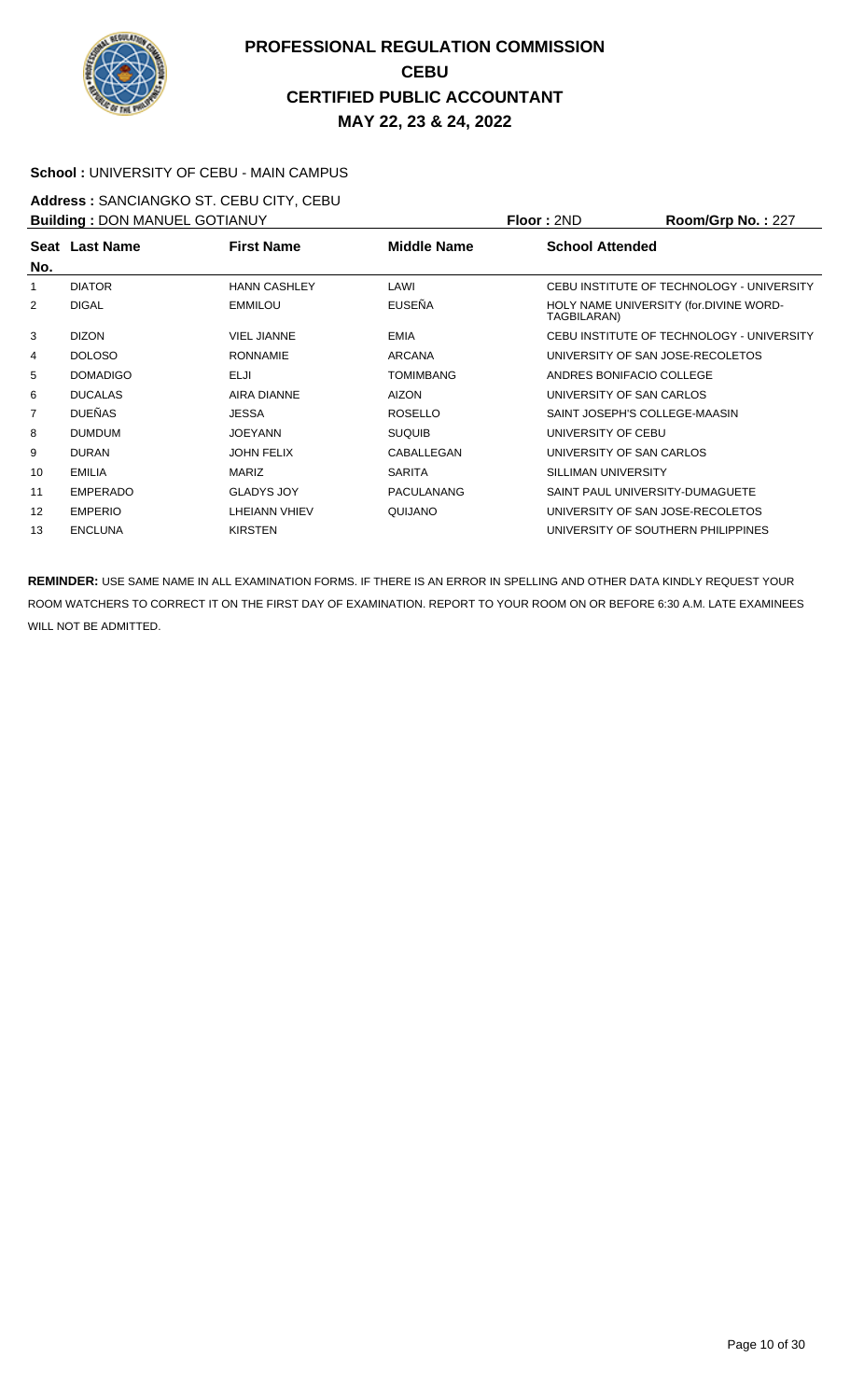

#### **School :** UNIVERSITY OF CEBU - MAIN CAMPUS

**Address :** SANCIANGKO ST. CEBU CITY, CEBU **Building :** DON MANUEL GOTIANUY **Floor :** 2ND **Room/Grp No. :** 227

| <b>BUILDING . DON MANUEL GOTTANOT</b> |                 | FIUUI.ZIVU          | <b>NUUIIIUI U IVU.</b> . ZZT |                                  |                                           |  |
|---------------------------------------|-----------------|---------------------|------------------------------|----------------------------------|-------------------------------------------|--|
|                                       | Seat Last Name  | <b>First Name</b>   | Middle Name                  | <b>School Attended</b>           |                                           |  |
| No.                                   |                 |                     |                              |                                  |                                           |  |
|                                       | <b>DIATOR</b>   | <b>HANN CASHLEY</b> | LAWI                         |                                  | CEBU INSTITUTE OF TECHNOLOGY - UNIVERSITY |  |
| $\overline{2}$                        | <b>DIGAL</b>    | <b>EMMILOU</b>      | <b>EUSEÑA</b>                | TAGBILARAN)                      | HOLY NAME UNIVERSITY (for.DIVINE WORD-    |  |
| 3                                     | <b>DIZON</b>    | <b>VIEL JIANNE</b>  | <b>EMIA</b>                  |                                  | CEBU INSTITUTE OF TECHNOLOGY - UNIVERSITY |  |
| 4                                     | <b>DOLOSO</b>   | <b>RONNAMIE</b>     | <b>ARCANA</b>                |                                  | UNIVERSITY OF SAN JOSE-RECOLETOS          |  |
| 5                                     | <b>DOMADIGO</b> | ELJI                | <b>TOMIMBANG</b>             |                                  | ANDRES BONIFACIO COLLEGE                  |  |
| 6                                     | <b>DUCALAS</b>  | <b>AIRA DIANNE</b>  | <b>AIZON</b>                 |                                  | UNIVERSITY OF SAN CARLOS                  |  |
| 7                                     | <b>DUEÑAS</b>   | <b>JESSA</b>        | <b>ROSELLO</b>               |                                  | SAINT JOSEPH'S COLLEGE-MAASIN             |  |
| 8                                     | <b>DUMDUM</b>   | <b>JOEYANN</b>      | <b>SUQUIB</b>                | UNIVERSITY OF CEBU               |                                           |  |
| 9                                     | <b>DURAN</b>    | <b>JOHN FELIX</b>   | CABALLEGAN                   |                                  | UNIVERSITY OF SAN CARLOS                  |  |
| 10                                    | <b>EMILIA</b>   | MARIZ               | <b>SARITA</b>                | SILLIMAN UNIVERSITY              |                                           |  |
| 11                                    | <b>EMPERADO</b> | <b>GLADYS JOY</b>   | <b>PACULANANG</b>            |                                  | SAINT PAUL UNIVERSITY-DUMAGUETE           |  |
| 12                                    | <b>EMPERIO</b>  | LHEIANN VHIEV       | QUIJANO                      | UNIVERSITY OF SAN JOSE-RECOLETOS |                                           |  |
| 13                                    | <b>ENCLUNA</b>  | <b>KIRSTEN</b>      |                              |                                  | UNIVERSITY OF SOUTHERN PHILIPPINES        |  |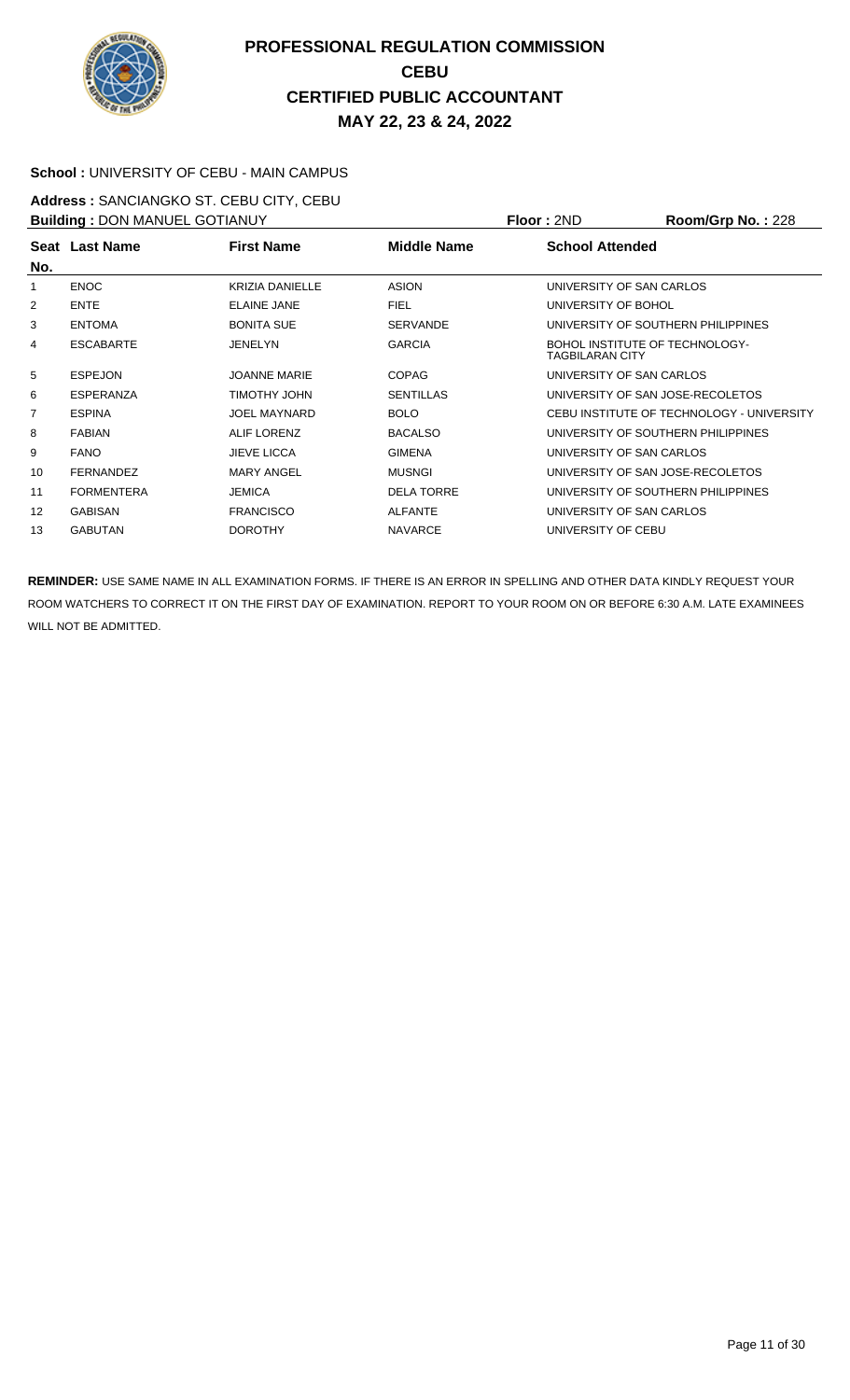

#### **School :** UNIVERSITY OF CEBU - MAIN CAMPUS

**Address :** SANCIANGKO ST. CEBU CITY, CEBU **Building :** DON MANUEL GOTIANUY **Floor :** 2ND **Room/Grp No. :** 228

| <b>BUILDING</b> . DOIN MANUEL GOTIANUT |                   |                        | <u>IIUU LAIV</u>  | <b>NUUIIIUI DI NU. . ZZU</b>                             |                                           |
|----------------------------------------|-------------------|------------------------|-------------------|----------------------------------------------------------|-------------------------------------------|
|                                        | Seat Last Name    | <b>First Name</b>      | Middle Name       | <b>School Attended</b>                                   |                                           |
| No.                                    |                   |                        |                   |                                                          |                                           |
| 1                                      | <b>ENOC</b>       | <b>KRIZIA DANIELLE</b> | <b>ASION</b>      |                                                          | UNIVERSITY OF SAN CARLOS                  |
| 2                                      | <b>ENTE</b>       | <b>ELAINE JANE</b>     | <b>FIEL</b>       | UNIVERSITY OF BOHOL                                      |                                           |
| 3                                      | <b>ENTOMA</b>     | <b>BONITA SUE</b>      | <b>SERVANDE</b>   |                                                          | UNIVERSITY OF SOUTHERN PHILIPPINES        |
| 4                                      | <b>ESCABARTE</b>  | JENELYN                | <b>GARCIA</b>     | BOHOL INSTITUTE OF TECHNOLOGY-<br><b>TAGBILARAN CITY</b> |                                           |
| 5                                      | <b>ESPEJON</b>    | <b>JOANNE MARIE</b>    | <b>COPAG</b>      |                                                          | UNIVERSITY OF SAN CARLOS                  |
| 6                                      | <b>ESPERANZA</b>  | <b>TIMOTHY JOHN</b>    | <b>SENTILLAS</b>  |                                                          | UNIVERSITY OF SAN JOSE-RECOLETOS          |
| $\overline{7}$                         | <b>ESPINA</b>     | <b>JOEL MAYNARD</b>    | <b>BOLO</b>       |                                                          | CEBU INSTITUTE OF TECHNOLOGY - UNIVERSITY |
| 8                                      | <b>FABIAN</b>     | ALIF LORENZ            | <b>BACALSO</b>    |                                                          | UNIVERSITY OF SOUTHERN PHILIPPINES        |
| 9                                      | <b>FANO</b>       | <b>JIEVE LICCA</b>     | <b>GIMENA</b>     |                                                          | UNIVERSITY OF SAN CARLOS                  |
| 10                                     | <b>FERNANDEZ</b>  | <b>MARY ANGEL</b>      | <b>MUSNGI</b>     |                                                          | UNIVERSITY OF SAN JOSE-RECOLETOS          |
| 11                                     | <b>FORMENTERA</b> | <b>JEMICA</b>          | <b>DELA TORRE</b> |                                                          | UNIVERSITY OF SOUTHERN PHILIPPINES        |
| 12                                     | <b>GABISAN</b>    | <b>FRANCISCO</b>       | <b>ALFANTE</b>    |                                                          | UNIVERSITY OF SAN CARLOS                  |
| 13                                     | <b>GABUTAN</b>    | <b>DOROTHY</b>         | <b>NAVARCE</b>    | UNIVERSITY OF CEBU                                       |                                           |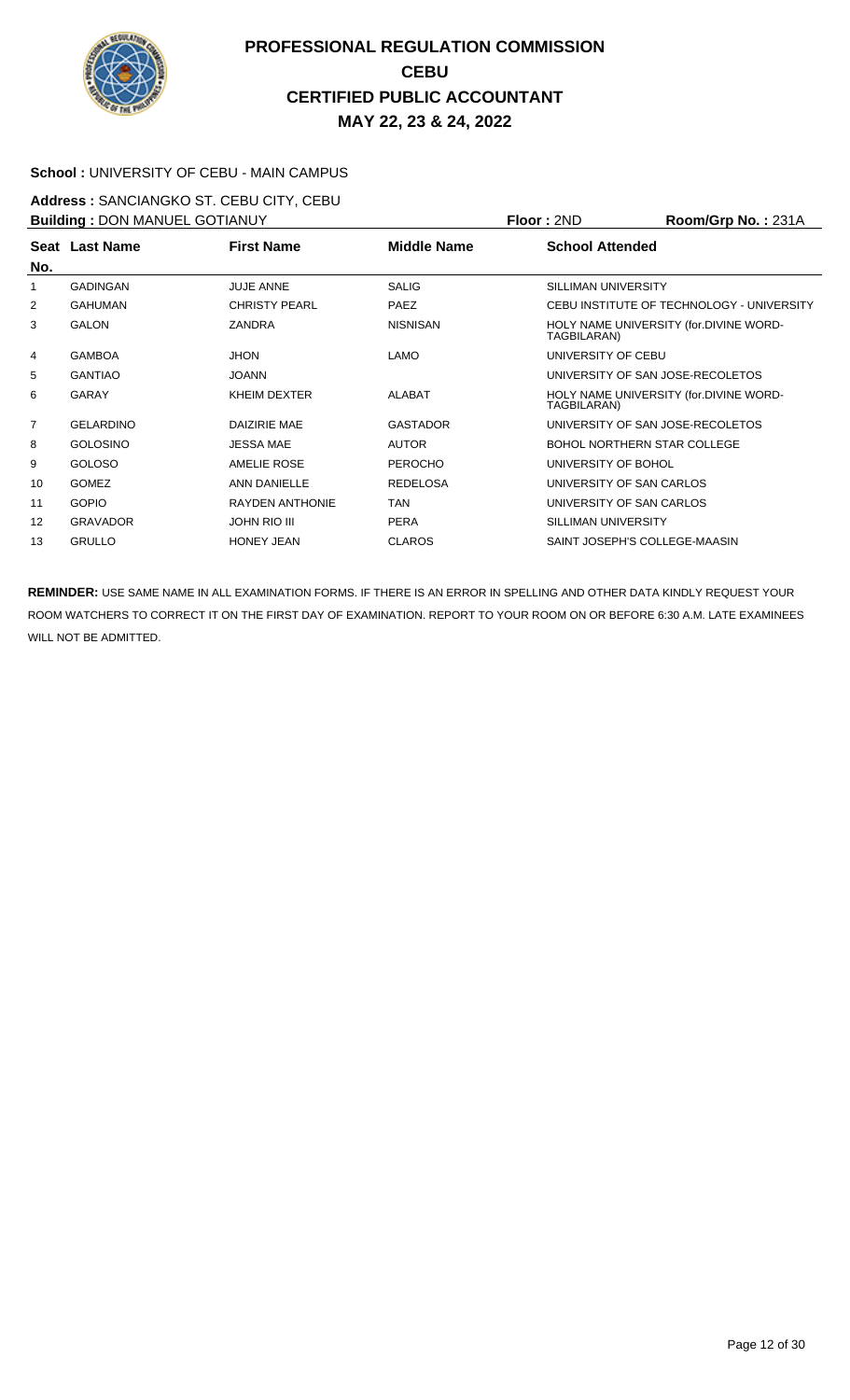

#### **School :** UNIVERSITY OF CEBU - MAIN CAMPUS

**Address :** SANCIANGKO ST. CEBU CITY, CEBU **Building :** DON MANUEL GOTIANUY **Floor :** 2ND **Room/Grp No. :** 231A

| <b>BUILDING</b> . DOIN MANUEL GOTIANUT |                  |                        |                    | <u>IIUUI. ZIIU</u>                                    | <b>NUUIIIUIU INU.</b> 2010                |
|----------------------------------------|------------------|------------------------|--------------------|-------------------------------------------------------|-------------------------------------------|
| No.                                    | Seat Last Name   | <b>First Name</b>      | <b>Middle Name</b> | <b>School Attended</b>                                |                                           |
| 1                                      | <b>GADINGAN</b>  | <b>JUJE ANNE</b>       | <b>SALIG</b>       | SILLIMAN UNIVERSITY                                   |                                           |
| 2                                      | GAHUMAN          | <b>CHRISTY PEARL</b>   | <b>PAEZ</b>        |                                                       | CEBU INSTITUTE OF TECHNOLOGY - UNIVERSITY |
| 3                                      | <b>GALON</b>     | <b>ZANDRA</b>          | <b>NISNISAN</b>    | HOLY NAME UNIVERSITY (for.DIVINE WORD-<br>TAGBILARAN) |                                           |
| 4                                      | <b>GAMBOA</b>    | <b>JHON</b>            | <b>LAMO</b>        | UNIVERSITY OF CEBU                                    |                                           |
| 5                                      | <b>GANTIAO</b>   | <b>JOANN</b>           |                    |                                                       | UNIVERSITY OF SAN JOSE-RECOLETOS          |
| 6                                      | <b>GARAY</b>     | KHEIM DEXTER           | <b>ALABAT</b>      | TAGBILARAN)                                           | HOLY NAME UNIVERSITY (for.DIVINE WORD-    |
| $\overline{7}$                         | <b>GELARDINO</b> | DAIZIRIE MAE           | <b>GASTADOR</b>    |                                                       | UNIVERSITY OF SAN JOSE-RECOLETOS          |
| 8                                      | <b>GOLOSINO</b>  | <b>JESSA MAE</b>       | <b>AUTOR</b>       |                                                       | <b>BOHOL NORTHERN STAR COLLEGE</b>        |
| 9                                      | <b>GOLOSO</b>    | AMELIE ROSE            | <b>PEROCHO</b>     | UNIVERSITY OF BOHOL                                   |                                           |
| 10                                     | <b>GOMEZ</b>     | ANN DANIELLE           | <b>REDELOSA</b>    | UNIVERSITY OF SAN CARLOS                              |                                           |
| 11                                     | <b>GOPIO</b>     | <b>RAYDEN ANTHONIE</b> | TAN                | UNIVERSITY OF SAN CARLOS                              |                                           |
| 12                                     | <b>GRAVADOR</b>  | <b>JOHN RIO III</b>    | <b>PERA</b>        | SILLIMAN UNIVERSITY                                   |                                           |
| 13                                     | <b>GRULLO</b>    | <b>HONEY JEAN</b>      | <b>CLAROS</b>      |                                                       | SAINT JOSEPH'S COLLEGE-MAASIN             |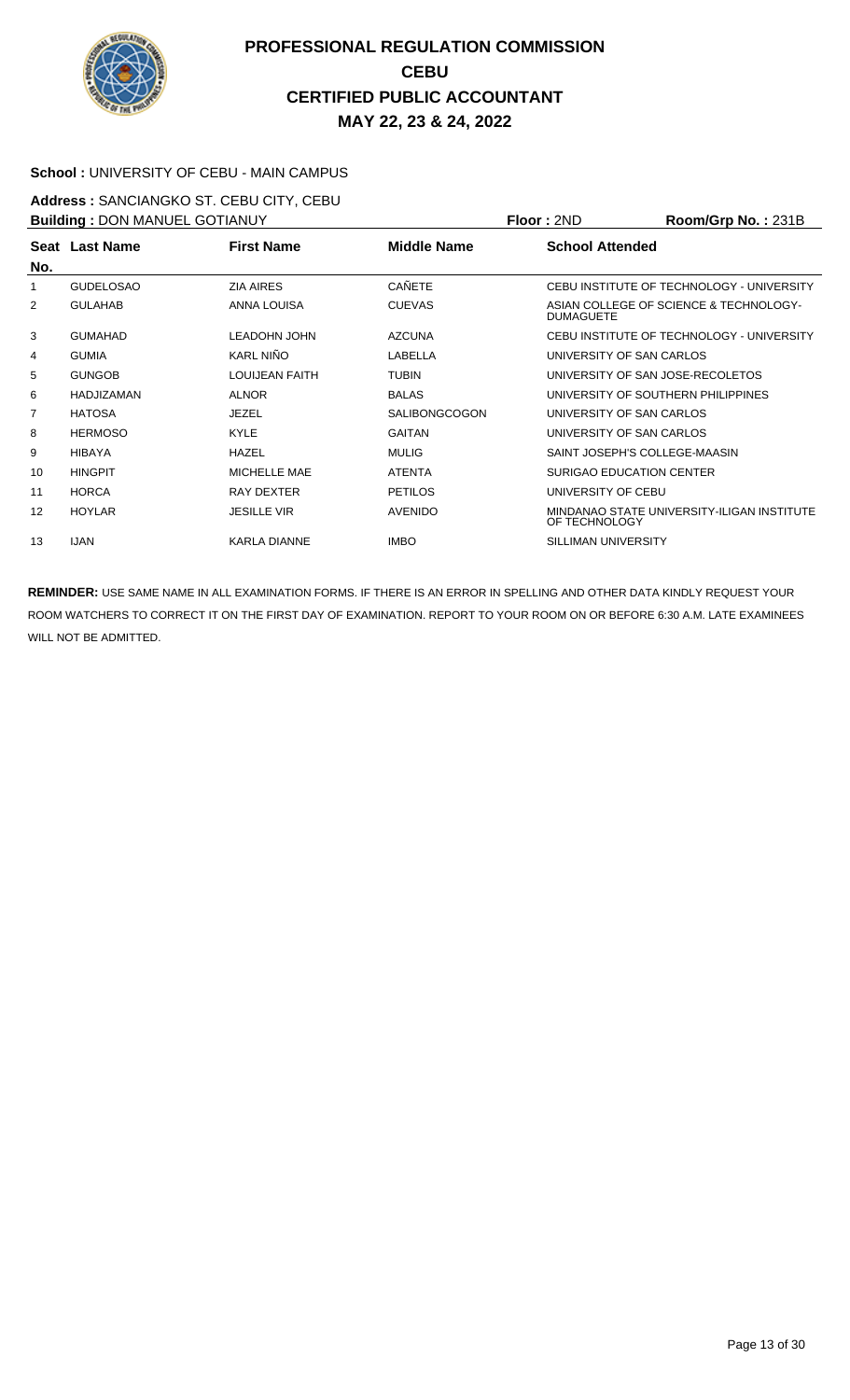

#### **School :** UNIVERSITY OF CEBU - MAIN CAMPUS

**Address :** SANCIANGKO ST. CEBU CITY, CEBU **Building :** DON MANUEL GOTIANUY **Floor :** 2ND **Room/Grp No. :** 231B

| <b>DUITURE: DOIN MANULL OUT IANUT</b> |                  |                       |                      | 1 IUU . ZI TU                                               |
|---------------------------------------|------------------|-----------------------|----------------------|-------------------------------------------------------------|
| No.                                   | Seat Last Name   | <b>First Name</b>     | <b>Middle Name</b>   | <b>School Attended</b>                                      |
| 1                                     | <b>GUDELOSAO</b> | <b>ZIA AIRES</b>      | <b>CAÑETE</b>        | CEBU INSTITUTE OF TECHNOLOGY - UNIVERSITY                   |
| 2                                     | <b>GULAHAB</b>   | ANNA LOUISA           | <b>CUEVAS</b>        | ASIAN COLLEGE OF SCIENCE & TECHNOLOGY-<br><b>DUMAGUETE</b>  |
| 3                                     | <b>GUMAHAD</b>   | <b>LEADOHN JOHN</b>   | <b>AZCUNA</b>        | CEBU INSTITUTE OF TECHNOLOGY - UNIVERSITY                   |
| 4                                     | <b>GUMIA</b>     | KARL NIÑO             | LABELLA              | UNIVERSITY OF SAN CARLOS                                    |
| 5                                     | <b>GUNGOB</b>    | <b>LOUIJEAN FAITH</b> | <b>TUBIN</b>         | UNIVERSITY OF SAN JOSE-RECOLETOS                            |
| 6                                     | HADJIZAMAN       | <b>ALNOR</b>          | <b>BALAS</b>         | UNIVERSITY OF SOUTHERN PHILIPPINES                          |
| 7                                     | <b>HATOSA</b>    | <b>JEZEL</b>          | <b>SALIBONGCOGON</b> | UNIVERSITY OF SAN CARLOS                                    |
| 8                                     | <b>HERMOSO</b>   | <b>KYLE</b>           | <b>GAITAN</b>        | UNIVERSITY OF SAN CARLOS                                    |
| 9                                     | <b>HIBAYA</b>    | <b>HAZEL</b>          | <b>MULIG</b>         | SAINT JOSEPH'S COLLEGE-MAASIN                               |
| 10                                    | <b>HINGPIT</b>   | MICHELLE MAE          | <b>ATENTA</b>        | SURIGAO EDUCATION CENTER                                    |
| 11                                    | <b>HORCA</b>     | RAY DEXTER            | <b>PETILOS</b>       | UNIVERSITY OF CEBU                                          |
| 12                                    | <b>HOYLAR</b>    | <b>JESILLE VIR</b>    | <b>AVENIDO</b>       | MINDANAO STATE UNIVERSITY-ILIGAN INSTITUTE<br>OF TECHNOLOGY |
| 13                                    | <b>IJAN</b>      | <b>KARLA DIANNE</b>   | <b>IMBO</b>          | SILLIMAN UNIVERSITY                                         |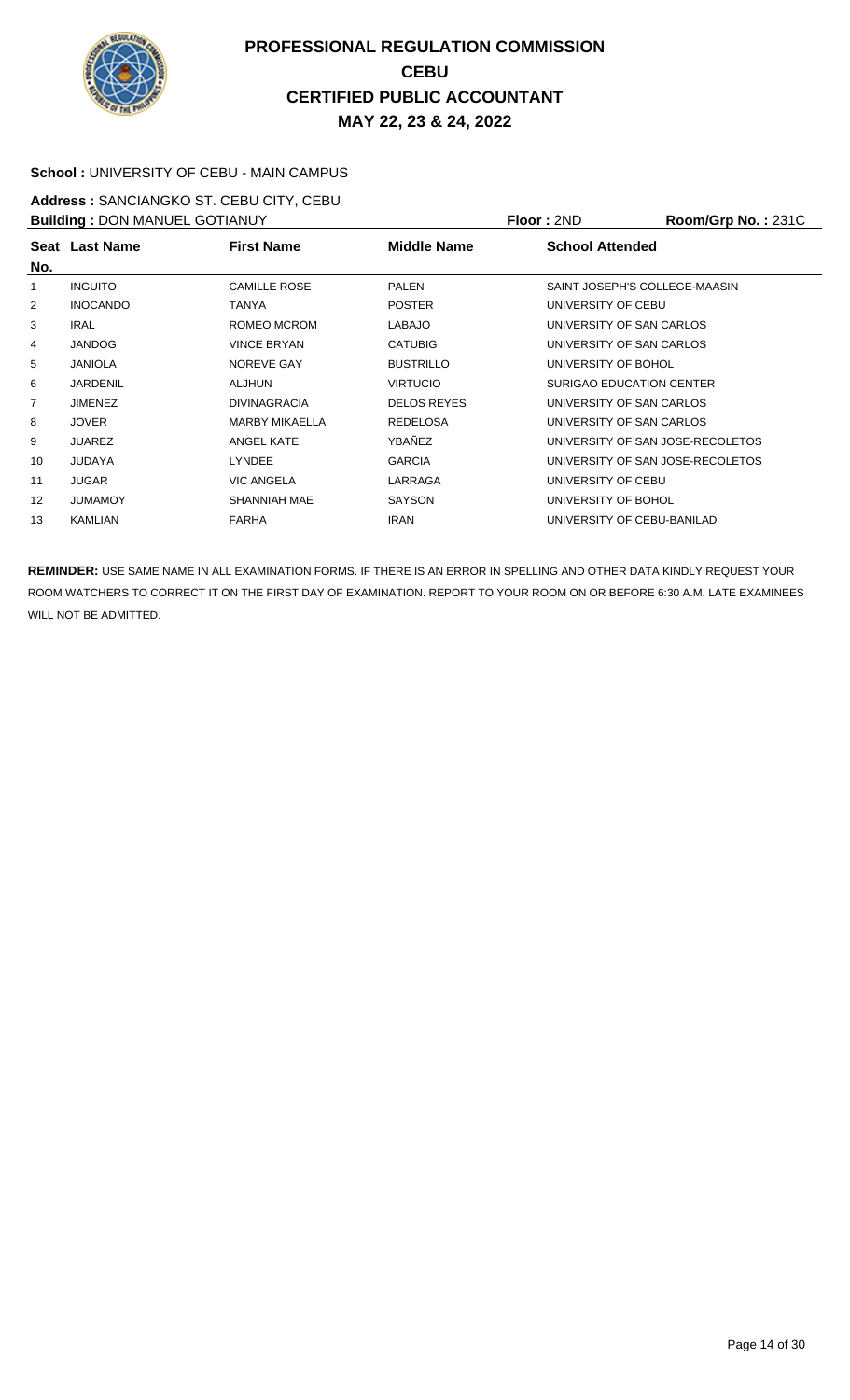

#### **School :** UNIVERSITY OF CEBU - MAIN CAMPUS

**Address :** SANCIANGKO ST. CEBU CITY, CEBU **Building : DON MANUEL GOTIANUY <b>Floor : 2ND Room/Grp No. : 231C** 

| <b>Bunding</b> . DON MININGLE OO HANOT |                 |                       |                    | 1 IVVI 1 4 IV<br>1100111101101110. . 2010 |  |  |
|----------------------------------------|-----------------|-----------------------|--------------------|-------------------------------------------|--|--|
| No.                                    | Seat Last Name  | <b>First Name</b>     | <b>Middle Name</b> | <b>School Attended</b>                    |  |  |
| 1                                      | <b>INGUITO</b>  | <b>CAMILLE ROSE</b>   | <b>PALEN</b>       | SAINT JOSEPH'S COLLEGE-MAASIN             |  |  |
| $\overline{2}$                         | <b>INOCANDO</b> | TANYA                 | <b>POSTER</b>      | UNIVERSITY OF CEBU                        |  |  |
| 3                                      | <b>IRAL</b>     | ROMEO MCROM           | <b>LABAJO</b>      | UNIVERSITY OF SAN CARLOS                  |  |  |
| 4                                      | <b>JANDOG</b>   | <b>VINCE BRYAN</b>    | <b>CATUBIG</b>     | UNIVERSITY OF SAN CARLOS                  |  |  |
| 5                                      | <b>JANIOLA</b>  | NOREVE GAY            | <b>BUSTRILLO</b>   | UNIVERSITY OF BOHOL                       |  |  |
| 6                                      | <b>JARDENIL</b> | <b>ALJHUN</b>         | <b>VIRTUCIO</b>    | SURIGAO EDUCATION CENTER                  |  |  |
| $\overline{7}$                         | <b>JIMENEZ</b>  | <b>DIVINAGRACIA</b>   | <b>DELOS REYES</b> | UNIVERSITY OF SAN CARLOS                  |  |  |
| 8                                      | <b>JOVER</b>    | <b>MARBY MIKAELLA</b> | <b>REDELOSA</b>    | UNIVERSITY OF SAN CARLOS                  |  |  |
| 9                                      | <b>JUAREZ</b>   | ANGEL KATE            | <b>YBAÑEZ</b>      | UNIVERSITY OF SAN JOSE-RECOLETOS          |  |  |
| 10                                     | <b>JUDAYA</b>   | <b>LYNDEE</b>         | <b>GARCIA</b>      | UNIVERSITY OF SAN JOSE-RECOLETOS          |  |  |
| 11                                     | <b>JUGAR</b>    | <b>VIC ANGELA</b>     | LARRAGA            | UNIVERSITY OF CEBU                        |  |  |
| $12 \overline{ }$                      | <b>JUMAMOY</b>  | SHANNIAH MAE          | <b>SAYSON</b>      | UNIVERSITY OF BOHOL                       |  |  |
| 13                                     | KAMLIAN         | <b>FARHA</b>          | <b>IRAN</b>        | UNIVERSITY OF CEBU-BANILAD                |  |  |
|                                        |                 |                       |                    |                                           |  |  |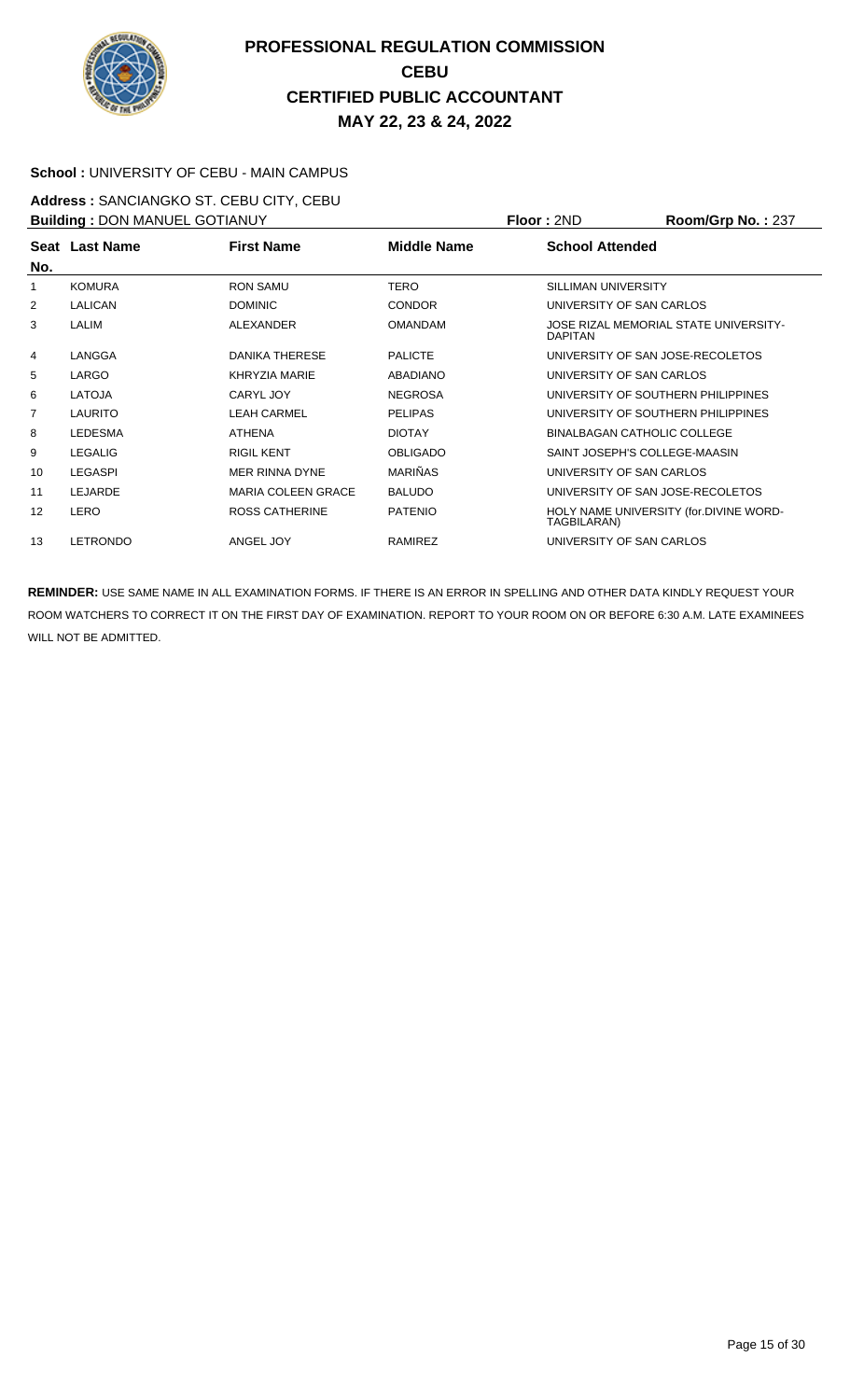

#### **School :** UNIVERSITY OF CEBU - MAIN CAMPUS

**Address :** SANCIANGKO ST. CEBU CITY, CEBU **Building : DON MANUEL GOTIANUY <b>Floor : 2ND Room/Grp No. : 237** 

| <b>BUILDING . DON MANUEL GOTTANOT</b> |                |                           |                 | FIUUI.ZIVU                                            | <b>NUUIIIUIU INU.</b> 201             |
|---------------------------------------|----------------|---------------------------|-----------------|-------------------------------------------------------|---------------------------------------|
| No.                                   | Seat Last Name | <b>First Name</b>         | Middle Name     | <b>School Attended</b>                                |                                       |
| 1                                     | <b>KOMURA</b>  | <b>RON SAMU</b>           | <b>TERO</b>     | SILLIMAN UNIVERSITY                                   |                                       |
| $\overline{2}$                        | <b>LALICAN</b> | <b>DOMINIC</b>            | <b>CONDOR</b>   | UNIVERSITY OF SAN CARLOS                              |                                       |
| 3                                     | LALIM          | ALEXANDER                 | <b>OMANDAM</b>  | <b>DAPITAN</b>                                        | JOSE RIZAL MEMORIAL STATE UNIVERSITY- |
| 4                                     | LANGGA         | <b>DANIKA THERESE</b>     | <b>PALICTE</b>  |                                                       | UNIVERSITY OF SAN JOSE-RECOLETOS      |
| 5                                     | LARGO          | KHRYZIA MARIE             | <b>ABADIANO</b> | UNIVERSITY OF SAN CARLOS                              |                                       |
| 6                                     | <b>LATOJA</b>  | CARYL JOY                 | <b>NEGROSA</b>  |                                                       | UNIVERSITY OF SOUTHERN PHILIPPINES    |
| $\overline{7}$                        | <b>LAURITO</b> | <b>LEAH CARMEL</b>        | <b>PELIPAS</b>  |                                                       | UNIVERSITY OF SOUTHERN PHILIPPINES    |
| 8                                     | <b>LEDESMA</b> | <b>ATHENA</b>             | <b>DIOTAY</b>   |                                                       | <b>BINALBAGAN CATHOLIC COLLEGE</b>    |
| 9                                     | <b>LEGALIG</b> | <b>RIGIL KENT</b>         | <b>OBLIGADO</b> |                                                       | SAINT JOSEPH'S COLLEGE-MAASIN         |
| 10                                    | <b>LEGASPI</b> | MER RINNA DYNE            | <b>MARIÑAS</b>  | UNIVERSITY OF SAN CARLOS                              |                                       |
| 11                                    | LEJARDE        | <b>MARIA COLEEN GRACE</b> | <b>BALUDO</b>   |                                                       | UNIVERSITY OF SAN JOSE-RECOLETOS      |
| 12                                    | LERO           | <b>ROSS CATHERINE</b>     | <b>PATENIO</b>  | HOLY NAME UNIVERSITY (for.DIVINE WORD-<br>TAGBILARAN) |                                       |
| 13                                    | LETRONDO       | ANGEL JOY                 | RAMIREZ         | UNIVERSITY OF SAN CARLOS                              |                                       |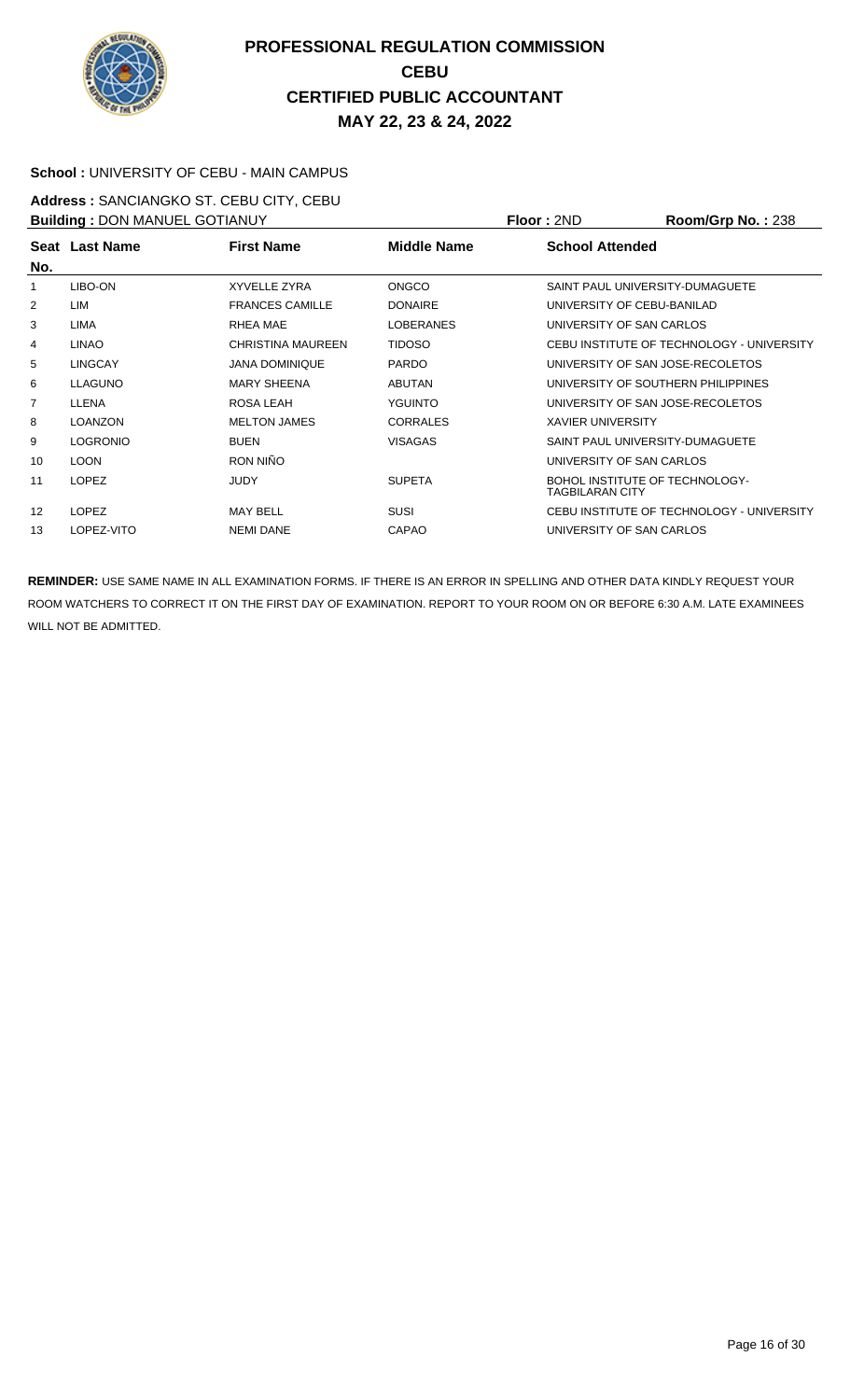

#### **School :** UNIVERSITY OF CEBU - MAIN CAMPUS

**Address :** SANCIANGKO ST. CEBU CITY, CEBU **Building : DON MANUEL GOTIANUY <b>Floor : 2ND Room/Grp No. : 238** 

| <b>DUITURE: DOIN IVIATIOLE OO HAINOT</b> |                 |                          |                    | 1 IUU . ZIVU<br>110011110111101.200                      |
|------------------------------------------|-----------------|--------------------------|--------------------|----------------------------------------------------------|
| No.                                      | Seat Last Name  | <b>First Name</b>        | <b>Middle Name</b> | <b>School Attended</b>                                   |
| 1                                        | LIBO-ON         | XYVELLE ZYRA             | <b>ONGCO</b>       | SAINT PAUL UNIVERSITY-DUMAGUETE                          |
| 2                                        | LIM             | <b>FRANCES CAMILLE</b>   | <b>DONAIRE</b>     | UNIVERSITY OF CEBU-BANILAD                               |
| 3                                        | LIMA            | RHEA MAE                 | <b>LOBERANES</b>   | UNIVERSITY OF SAN CARLOS                                 |
| 4                                        | <b>LINAO</b>    | <b>CHRISTINA MAUREEN</b> | <b>TIDOSO</b>      | CEBU INSTITUTE OF TECHNOLOGY - UNIVERSITY                |
| 5                                        | <b>LINGCAY</b>  | <b>JANA DOMINIQUE</b>    | <b>PARDO</b>       | UNIVERSITY OF SAN JOSE-RECOLETOS                         |
| 6                                        | <b>LLAGUNO</b>  | <b>MARY SHEENA</b>       | <b>ABUTAN</b>      | UNIVERSITY OF SOUTHERN PHILIPPINES                       |
| 7                                        | LLENA           | ROSA LEAH                | <b>YGUINTO</b>     | UNIVERSITY OF SAN JOSE-RECOLETOS                         |
| 8                                        | <b>LOANZON</b>  | <b>MELTON JAMES</b>      | <b>CORRALES</b>    | <b>XAVIER UNIVERSITY</b>                                 |
| 9                                        | <b>LOGRONIO</b> | <b>BUEN</b>              | <b>VISAGAS</b>     | SAINT PAUL UNIVERSITY-DUMAGUETE                          |
| 10                                       | <b>LOON</b>     | RON NIÑO                 |                    | UNIVERSITY OF SAN CARLOS                                 |
| 11                                       | <b>LOPEZ</b>    | <b>JUDY</b>              | <b>SUPETA</b>      | <b>BOHOL INSTITUTE OF TECHNOLOGY-</b><br>TAGBILARAN CITY |
| 12                                       | <b>LOPEZ</b>    | <b>MAY BELL</b>          | <b>SUSI</b>        | CEBU INSTITUTE OF TECHNOLOGY - UNIVERSITY                |
| 13                                       | LOPEZ-VITO      | <b>NEMI DANE</b>         | <b>CAPAO</b>       | UNIVERSITY OF SAN CARLOS                                 |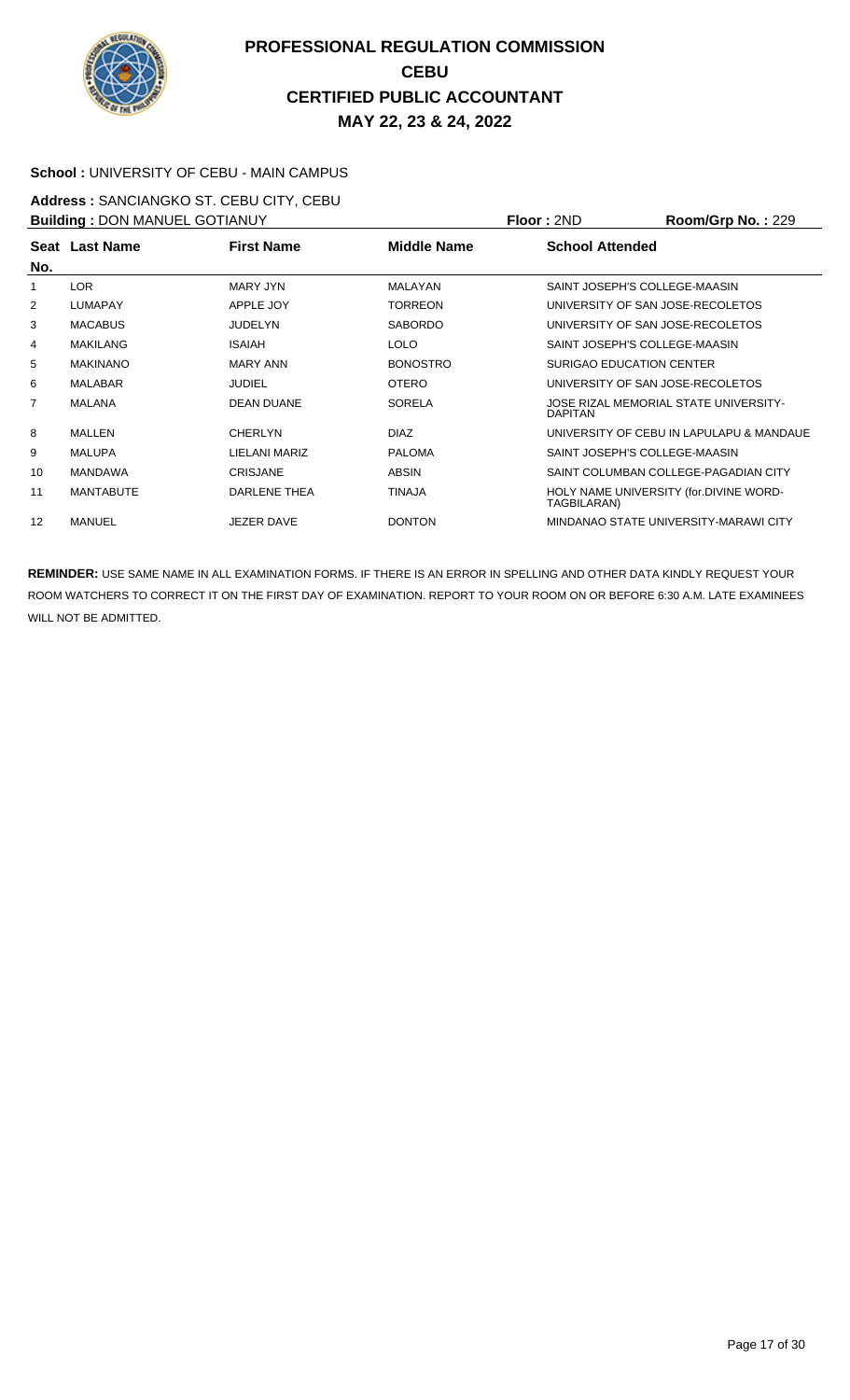

#### **School :** UNIVERSITY OF CEBU - MAIN CAMPUS

**Address :** SANCIANGKO ST. CEBU CITY, CEBU **Building :** DON MANUEL GOTIANUY **Floor :** 2ND **Room/Grp No. :** 229

| <b>BUILDING . DOIN MANUEL GOTTAING I</b> |                  |                   | FIUUI.ZIVU         | <b>NUUIIIUI U INU.</b> . 229 |                                          |
|------------------------------------------|------------------|-------------------|--------------------|------------------------------|------------------------------------------|
|                                          | Seat Last Name   | <b>First Name</b> | <b>Middle Name</b> | <b>School Attended</b>       |                                          |
| No.                                      |                  |                   |                    |                              |                                          |
| 1                                        | <b>LOR</b>       | MARY JYN          | MALAYAN            |                              | SAINT JOSEPH'S COLLEGE-MAASIN            |
| 2                                        | <b>LUMAPAY</b>   | APPLE JOY         | <b>TORREON</b>     |                              | UNIVERSITY OF SAN JOSE-RECOLETOS         |
| 3                                        | <b>MACABUS</b>   | <b>JUDELYN</b>    | <b>SABORDO</b>     |                              | UNIVERSITY OF SAN JOSE-RECOLETOS         |
| 4                                        | <b>MAKILANG</b>  | <b>ISAIAH</b>     | <b>LOLO</b>        |                              | SAINT JOSEPH'S COLLEGE-MAASIN            |
| 5                                        | <b>MAKINANO</b>  | <b>MARY ANN</b>   | <b>BONOSTRO</b>    |                              | <b>SURIGAO EDUCATION CENTER</b>          |
| 6                                        | <b>MALABAR</b>   | <b>JUDIEL</b>     | <b>OTERO</b>       |                              | UNIVERSITY OF SAN JOSE-RECOLETOS         |
| $\overline{7}$                           | <b>MALANA</b>    | <b>DEAN DUANE</b> | <b>SORELA</b>      | <b>DAPITAN</b>               | JOSE RIZAL MEMORIAL STATE UNIVERSITY-    |
| 8                                        | <b>MALLEN</b>    | <b>CHERLYN</b>    | <b>DIAZ</b>        |                              | UNIVERSITY OF CEBU IN LAPULAPU & MANDAUE |
| 9                                        | <b>MALUPA</b>    | LIELANI MARIZ     | <b>PALOMA</b>      |                              | SAINT JOSEPH'S COLLEGE-MAASIN            |
| 10                                       | <b>MANDAWA</b>   | <b>CRISJANE</b>   | <b>ABSIN</b>       |                              | SAINT COLUMBAN COLLEGE-PAGADIAN CITY     |
| 11                                       | <b>MANTABUTE</b> | DARLENE THEA      | <b>TINAJA</b>      | TAGBILARAN)                  | HOLY NAME UNIVERSITY (for.DIVINE WORD-   |
| 12                                       | <b>MANUEL</b>    | <b>JEZER DAVE</b> | <b>DONTON</b>      |                              | MINDANAO STATE UNIVERSITY-MARAWI CITY    |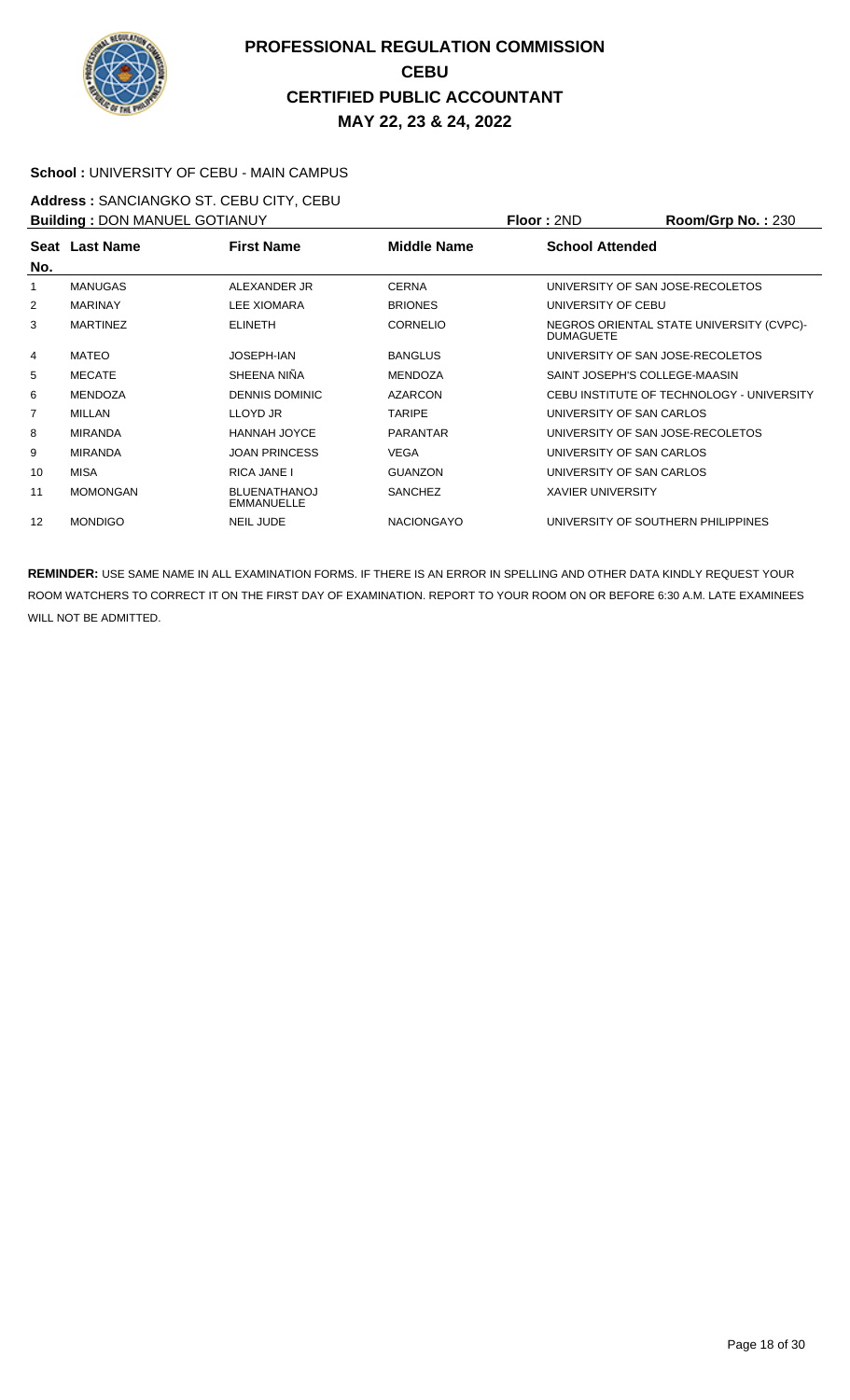

#### **School :** UNIVERSITY OF CEBU - MAIN CAMPUS

**Address :** SANCIANGKO ST. CEBU CITY, CEBU **Building :** DON MANUEL GOTIANUY **Floor :** 2ND **Room/Grp No. :** 230

| <b>BUILDING . DON MANUEL GOTTANOT</b> |                 |                                          | FIUUI.ZIVU        | <b>NUUIIIUI U IVU.</b> . ZJU |                                           |
|---------------------------------------|-----------------|------------------------------------------|-------------------|------------------------------|-------------------------------------------|
|                                       | Seat Last Name  | <b>First Name</b>                        | Middle Name       | <b>School Attended</b>       |                                           |
| No.                                   |                 |                                          |                   |                              |                                           |
| 1                                     | <b>MANUGAS</b>  | ALEXANDER JR                             | <b>CERNA</b>      |                              | UNIVERSITY OF SAN JOSE-RECOLETOS          |
| 2                                     | <b>MARINAY</b>  | <b>LEE XIOMARA</b>                       | <b>BRIONES</b>    | UNIVERSITY OF CEBU           |                                           |
| 3                                     | <b>MARTINEZ</b> | <b>ELINETH</b>                           | <b>CORNELIO</b>   | <b>DUMAGUETE</b>             | NEGROS ORIENTAL STATE UNIVERSITY (CVPC)-  |
| 4                                     | MATEO           | JOSEPH-IAN                               | <b>BANGLUS</b>    |                              | UNIVERSITY OF SAN JOSE-RECOLETOS          |
| 5                                     | <b>MECATE</b>   | SHEENA NIÑA                              | <b>MENDOZA</b>    |                              | SAINT JOSEPH'S COLLEGE-MAASIN             |
| 6                                     | <b>MENDOZA</b>  | <b>DENNIS DOMINIC</b>                    | <b>AZARCON</b>    |                              | CEBU INSTITUTE OF TECHNOLOGY - UNIVERSITY |
| $\overline{7}$                        | <b>MILLAN</b>   | LLOYD JR                                 | <b>TARIPE</b>     |                              | UNIVERSITY OF SAN CARLOS                  |
| 8                                     | <b>MIRANDA</b>  | <b>HANNAH JOYCE</b>                      | <b>PARANTAR</b>   |                              | UNIVERSITY OF SAN JOSE-RECOLETOS          |
| 9                                     | <b>MIRANDA</b>  | <b>JOAN PRINCESS</b>                     | VEGA              |                              | UNIVERSITY OF SAN CARLOS                  |
| 10                                    | MISA            | RICA JANE I                              | <b>GUANZON</b>    |                              | UNIVERSITY OF SAN CARLOS                  |
| 11                                    | <b>MOMONGAN</b> | <b>BLUENATHANOJ</b><br><b>EMMANUELLE</b> | <b>SANCHEZ</b>    | <b>XAVIER UNIVERSITY</b>     |                                           |
| 12                                    | <b>MONDIGO</b>  | <b>NEIL JUDE</b>                         | <b>NACIONGAYO</b> |                              | UNIVERSITY OF SOUTHERN PHILIPPINES        |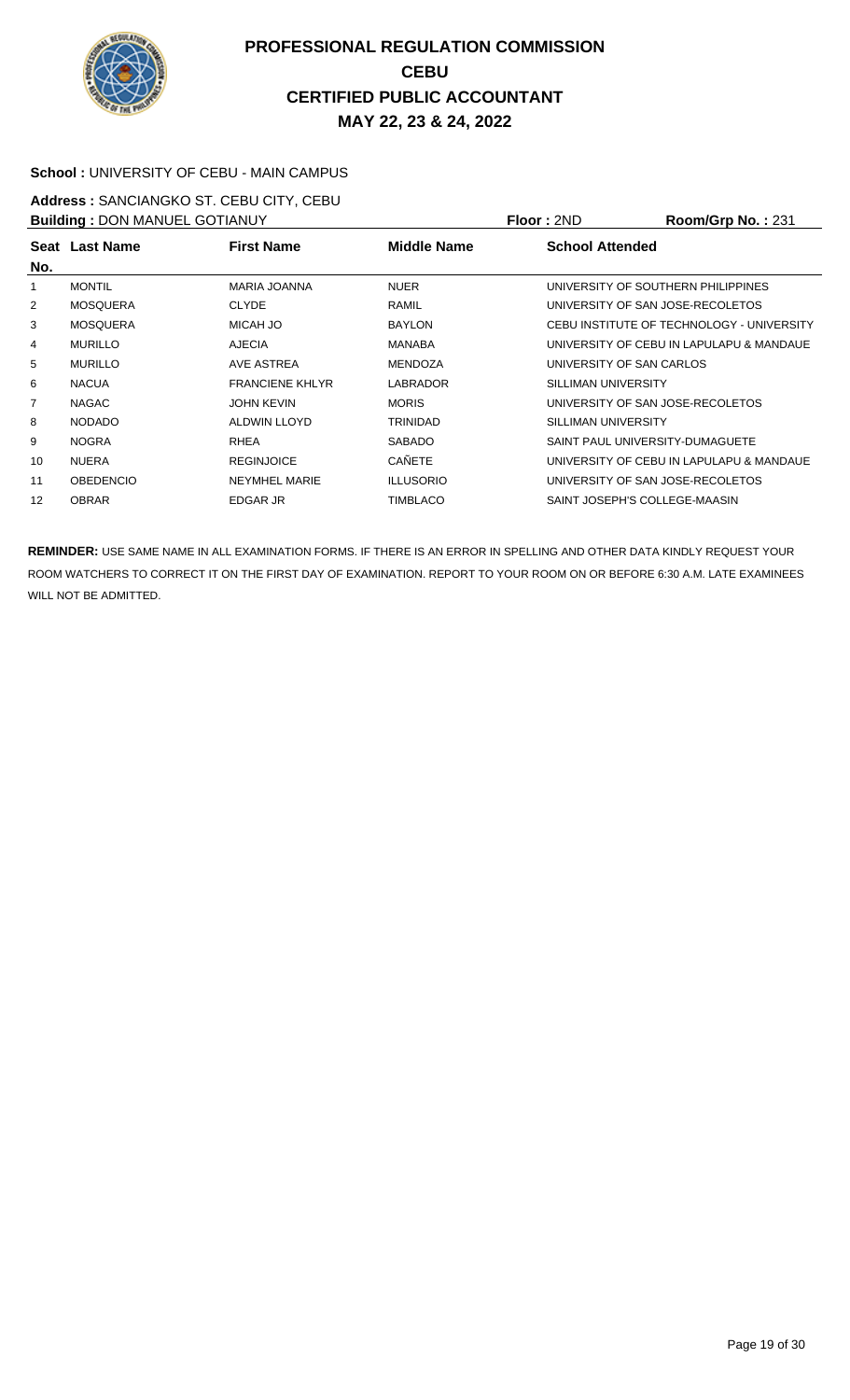

#### **School :** UNIVERSITY OF CEBU - MAIN CAMPUS

**Address :** SANCIANGKO ST. CEBU CITY, CEBU **Building : DON MANUEL GOTIANUY <b>Floor : 2ND Room/Grp No. : 231** 

|                  |                        |                                       |                                    | <b>NUUIII/UI DI NU.</b> . ZJ I            |
|------------------|------------------------|---------------------------------------|------------------------------------|-------------------------------------------|
| Seat Last Name   | <b>First Name</b>      | <b>Middle Name</b>                    | <b>School Attended</b>             |                                           |
| <b>MONTIL</b>    | <b>MARIA JOANNA</b>    | <b>NUER</b>                           | UNIVERSITY OF SOUTHERN PHILIPPINES |                                           |
| <b>MOSQUERA</b>  | <b>CLYDE</b>           | <b>RAMIL</b>                          | UNIVERSITY OF SAN JOSE-RECOLETOS   |                                           |
| <b>MOSQUERA</b>  | MICAH JO               | <b>BAYLON</b>                         |                                    | CEBU INSTITUTE OF TECHNOLOGY - UNIVERSITY |
| <b>MURILLO</b>   | <b>AJECIA</b>          | <b>MANABA</b>                         |                                    | UNIVERSITY OF CEBU IN LAPULAPU & MANDAUE  |
| <b>MURILLO</b>   | AVE ASTREA             | MENDOZA                               | UNIVERSITY OF SAN CARLOS           |                                           |
| <b>NACUA</b>     | <b>FRANCIENE KHLYR</b> | LABRADOR                              | SILLIMAN UNIVERSITY                |                                           |
| <b>NAGAC</b>     | <b>JOHN KEVIN</b>      | <b>MORIS</b>                          | UNIVERSITY OF SAN JOSE-RECOLETOS   |                                           |
| <b>NODADO</b>    | ALDWIN LLOYD           | <b>TRINIDAD</b>                       | SILLIMAN UNIVERSITY                |                                           |
| <b>NOGRA</b>     | <b>RHEA</b>            | <b>SABADO</b>                         | SAINT PAUL UNIVERSITY-DUMAGUETE    |                                           |
| <b>NUERA</b>     | <b>REGINJOICE</b>      | <b>CAÑETE</b>                         |                                    | UNIVERSITY OF CEBU IN LAPULAPU & MANDAUE  |
| <b>OBEDENCIO</b> | <b>NEYMHEL MARIE</b>   | <b>ILLUSORIO</b>                      | UNIVERSITY OF SAN JOSE-RECOLETOS   |                                           |
| <b>OBRAR</b>     | <b>EDGAR JR</b>        | <b>TIMBLACO</b>                       | SAINT JOSEPH'S COLLEGE-MAASIN      |                                           |
|                  |                        | <b>BUILDING . DON MANUEL GOTTANUT</b> |                                    | FIUUI.ZIVU                                |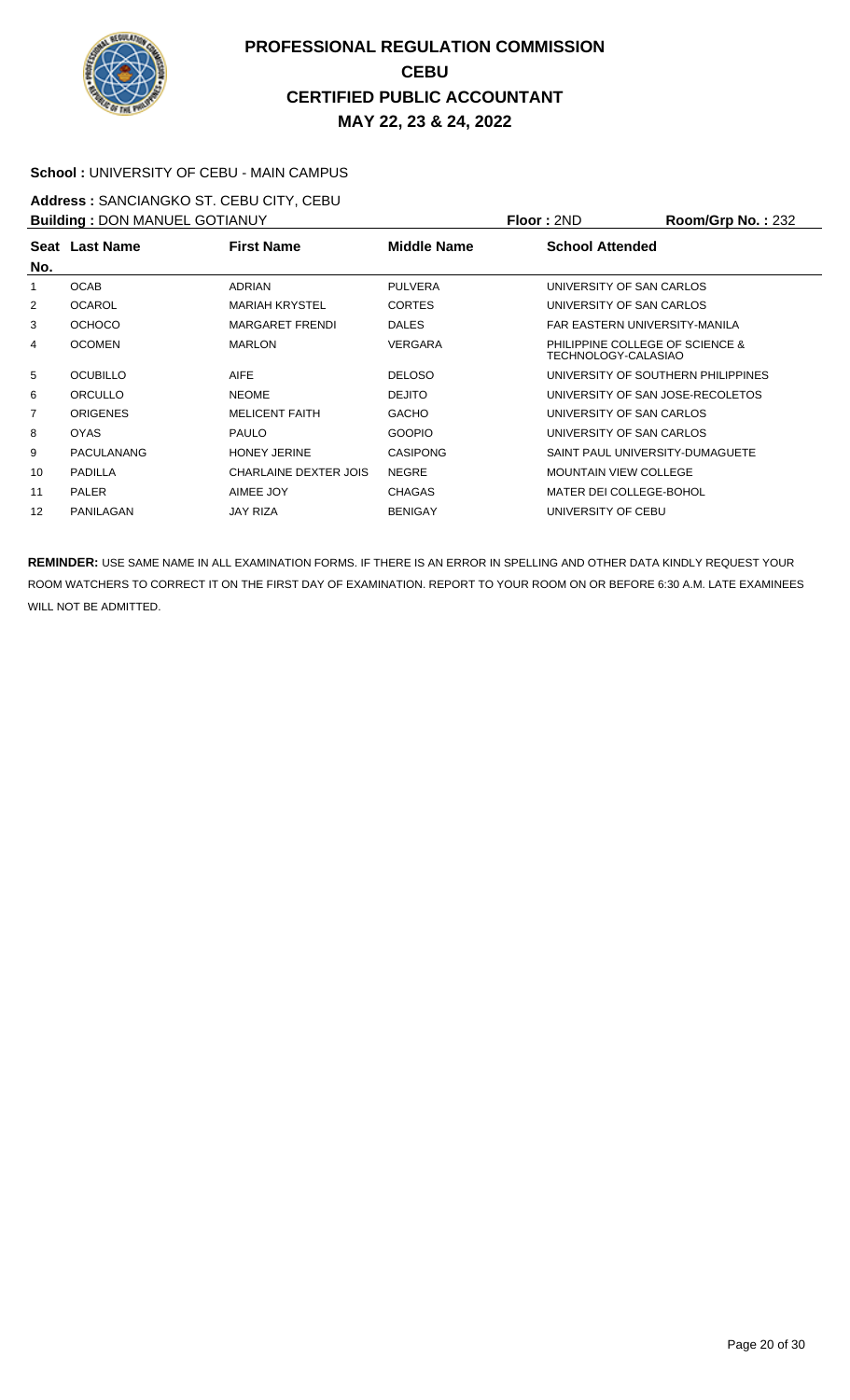

#### **School :** UNIVERSITY OF CEBU - MAIN CAMPUS

**Address :** SANCIANGKO ST. CEBU CITY, CEBU **Building :** DON MANUEL GOTIANUY **Floor :** 2ND **Room/Grp No. :** 232

| <b>BUILDING</b> . DOIN MANUEL GOTIANOT |                   |                        | <u>IIUU LAIV</u>   | <b>NUUIIIUI U IVU.</b> . ZJZ |                                    |
|----------------------------------------|-------------------|------------------------|--------------------|------------------------------|------------------------------------|
|                                        | Seat Last Name    | <b>First Name</b>      | <b>Middle Name</b> | <b>School Attended</b>       |                                    |
| No.                                    |                   |                        |                    |                              |                                    |
| 1                                      | <b>OCAB</b>       | <b>ADRIAN</b>          | <b>PULVERA</b>     | UNIVERSITY OF SAN CARLOS     |                                    |
| 2                                      | <b>OCAROL</b>     | <b>MARIAH KRYSTEL</b>  | <b>CORTES</b>      | UNIVERSITY OF SAN CARLOS     |                                    |
| 3                                      | <b>OCHOCO</b>     | <b>MARGARET FRENDI</b> | <b>DALES</b>       |                              | FAR EASTERN UNIVERSITY-MANILA      |
| 4                                      | <b>OCOMEN</b>     | <b>MARLON</b>          | <b>VERGARA</b>     | TECHNOLOGY-CALASIAO          | PHILIPPINE COLLEGE OF SCIENCE &    |
| 5                                      | <b>OCUBILLO</b>   | <b>AIFE</b>            | <b>DELOSO</b>      |                              | UNIVERSITY OF SOUTHERN PHILIPPINES |
| 6                                      | ORCULLO           | <b>NEOME</b>           | <b>DEJITO</b>      |                              | UNIVERSITY OF SAN JOSE-RECOLETOS   |
| $\overline{7}$                         | <b>ORIGENES</b>   | <b>MELICENT FAITH</b>  | <b>GACHO</b>       | UNIVERSITY OF SAN CARLOS     |                                    |
| 8                                      | <b>OYAS</b>       | <b>PAULO</b>           | <b>GOOPIO</b>      | UNIVERSITY OF SAN CARLOS     |                                    |
| 9                                      | <b>PACULANANG</b> | <b>HONEY JERINE</b>    | <b>CASIPONG</b>    |                              | SAINT PAUL UNIVERSITY-DUMAGUETE    |
| 10                                     | <b>PADILLA</b>    | CHARLAINE DEXTER JOIS  | <b>NEGRE</b>       | <b>MOUNTAIN VIEW COLLEGE</b> |                                    |
| 11                                     | <b>PALER</b>      | AIMEE JOY              | <b>CHAGAS</b>      | MATER DEI COLLEGE-BOHOL      |                                    |
| 12                                     | PANILAGAN         | <b>JAY RIZA</b>        | <b>BENIGAY</b>     | UNIVERSITY OF CEBU           |                                    |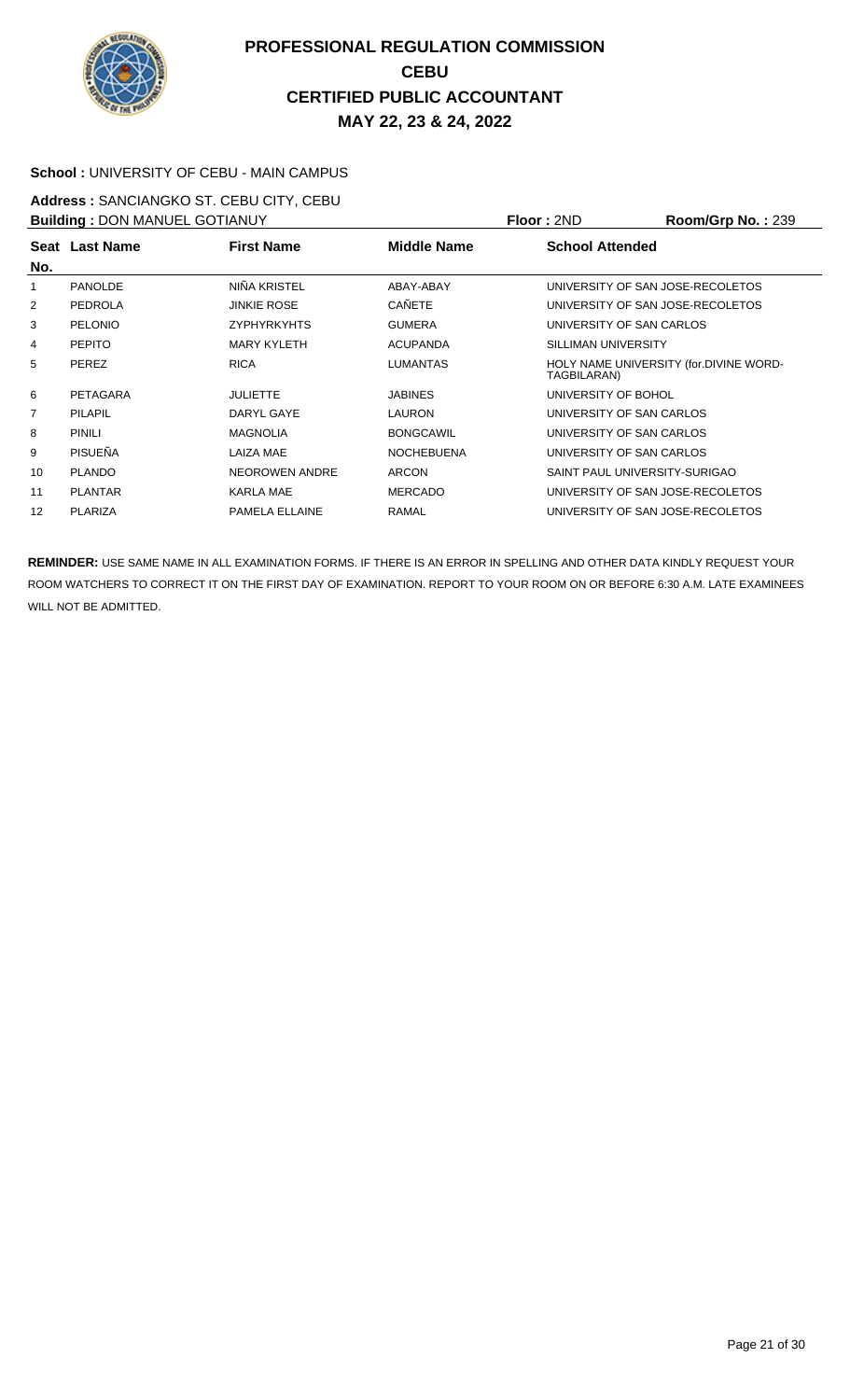

#### **School :** UNIVERSITY OF CEBU - MAIN CAMPUS

**Address :** SANCIANGKO ST. CEBU CITY, CEBU **Building :** DON MANUEL GOTIANUY **Floor :** 2ND **Room/Grp No. :** 239

| <b>BUILDING . DON MANUEL GOTIANOT</b> |                |                       |                    | FIUUI.ZIVU                                            | <b>NUUIIIUU INU.</b> . 209 |
|---------------------------------------|----------------|-----------------------|--------------------|-------------------------------------------------------|----------------------------|
|                                       | Seat Last Name | <b>First Name</b>     | <b>Middle Name</b> | <b>School Attended</b>                                |                            |
| No.                                   |                |                       |                    |                                                       |                            |
| 1                                     | <b>PANOLDE</b> | NIÑA KRISTEL          | ABAY-ABAY          | UNIVERSITY OF SAN JOSE-RECOLETOS                      |                            |
| 2                                     | <b>PEDROLA</b> | <b>JINKIE ROSE</b>    | <b>CAÑETE</b>      | UNIVERSITY OF SAN JOSE-RECOLETOS                      |                            |
| 3                                     | <b>PELONIO</b> | <b>ZYPHYRKYHTS</b>    | <b>GUMERA</b>      | UNIVERSITY OF SAN CARLOS                              |                            |
| 4                                     | <b>PEPITO</b>  | <b>MARY KYLETH</b>    | <b>ACUPANDA</b>    | SILLIMAN UNIVERSITY                                   |                            |
| 5                                     | <b>PEREZ</b>   | <b>RICA</b>           | <b>LUMANTAS</b>    | HOLY NAME UNIVERSITY (for.DIVINE WORD-<br>TAGBILARAN) |                            |
| 6                                     | PETAGARA       | <b>JULIETTE</b>       | <b>JABINES</b>     | UNIVERSITY OF BOHOL                                   |                            |
| $\overline{7}$                        | <b>PILAPIL</b> | DARYL GAYE            | <b>LAURON</b>      | UNIVERSITY OF SAN CARLOS                              |                            |
| 8                                     | <b>PINILI</b>  | <b>MAGNOLIA</b>       | <b>BONGCAWIL</b>   | UNIVERSITY OF SAN CARLOS                              |                            |
| 9                                     | PISUEÑA        | LAIZA MAE             | <b>NOCHEBUENA</b>  | UNIVERSITY OF SAN CARLOS                              |                            |
| 10                                    | <b>PLANDO</b>  | <b>NEOROWEN ANDRE</b> | <b>ARCON</b>       | SAINT PAUL UNIVERSITY-SURIGAO                         |                            |
| 11                                    | <b>PLANTAR</b> | KARLA MAE             | <b>MERCADO</b>     | UNIVERSITY OF SAN JOSE-RECOLETOS                      |                            |
| 12                                    | <b>PLARIZA</b> | PAMELA ELLAINE        | RAMAL              | UNIVERSITY OF SAN JOSE-RECOLETOS                      |                            |
|                                       |                |                       |                    |                                                       |                            |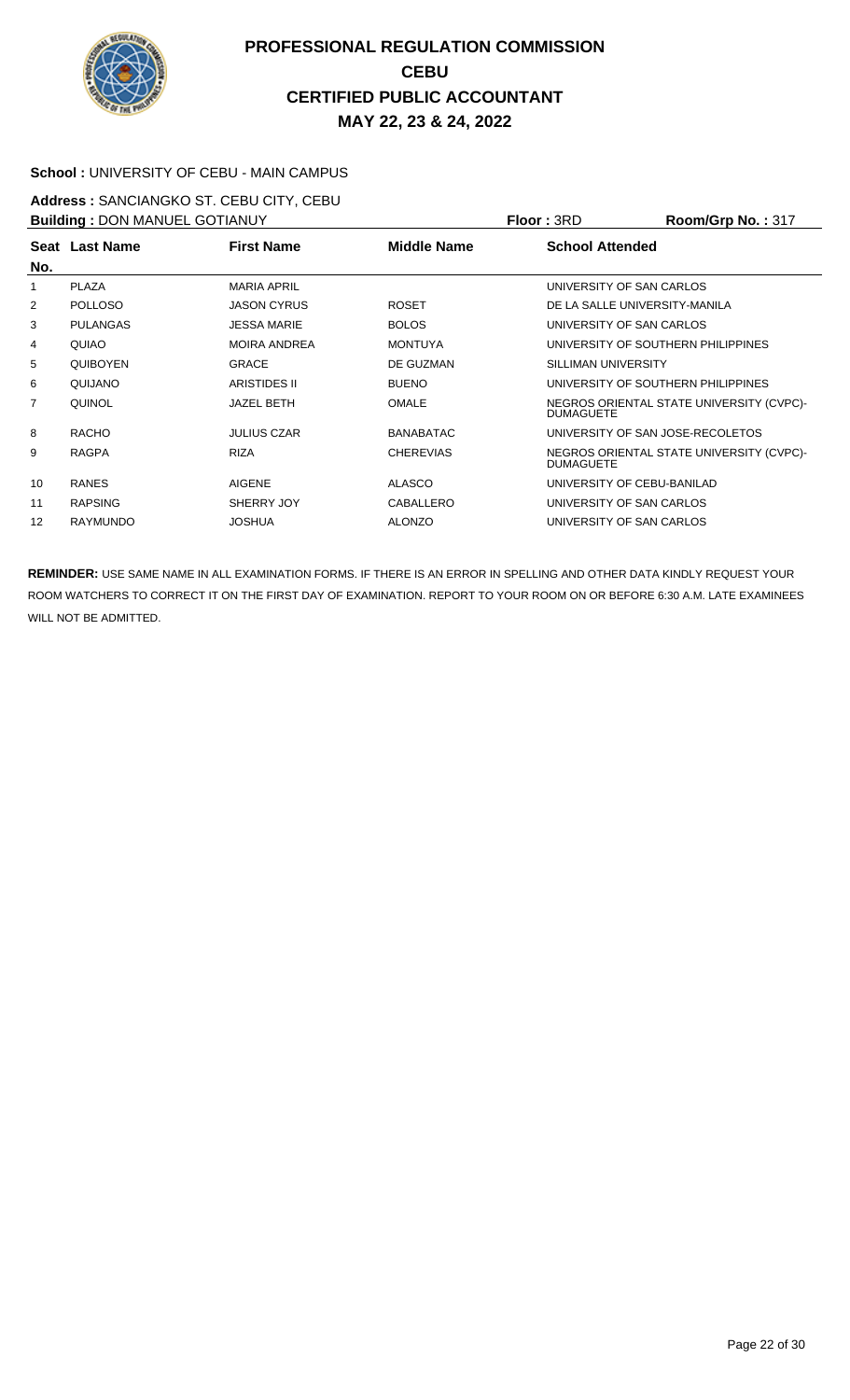

#### **School :** UNIVERSITY OF CEBU - MAIN CAMPUS

**Address :** SANCIANGKO ST. CEBU CITY, CEBU **Building :** DON MANUEL GOTIANUY **Floor :** 3RD **Room/Grp No. :** 317

| <b>BUILDING . DON MANUEL GOTTANOT</b> |                 |                     | FIUUL.JND          | <u>וויט, וויטווויטט</u>  |                                          |
|---------------------------------------|-----------------|---------------------|--------------------|--------------------------|------------------------------------------|
|                                       | Seat Last Name  | <b>First Name</b>   | <b>Middle Name</b> | <b>School Attended</b>   |                                          |
| No.                                   |                 |                     |                    |                          |                                          |
| 1                                     | <b>PLAZA</b>    | <b>MARIA APRIL</b>  |                    | UNIVERSITY OF SAN CARLOS |                                          |
| 2                                     | <b>POLLOSO</b>  | <b>JASON CYRUS</b>  | <b>ROSET</b>       |                          | DE LA SALLE UNIVERSITY-MANILA            |
| 3                                     | <b>PULANGAS</b> | <b>JESSA MARIE</b>  | <b>BOLOS</b>       | UNIVERSITY OF SAN CARLOS |                                          |
| 4                                     | QUIAO           | <b>MOIRA ANDREA</b> | <b>MONTUYA</b>     |                          | UNIVERSITY OF SOUTHERN PHILIPPINES       |
| 5                                     | <b>QUIBOYEN</b> | <b>GRACE</b>        | DE GUZMAN          | SILLIMAN UNIVERSITY      |                                          |
| 6                                     | QUIJANO         | ARISTIDES II        | <b>BUENO</b>       |                          | UNIVERSITY OF SOUTHERN PHILIPPINES       |
| $\overline{7}$                        | QUINOL          | <b>JAZEL BETH</b>   | <b>OMALE</b>       | <b>DUMAGUETE</b>         | NEGROS ORIENTAL STATE UNIVERSITY (CVPC)- |
| 8                                     | <b>RACHO</b>    | <b>JULIUS CZAR</b>  | <b>BANABATAC</b>   |                          | UNIVERSITY OF SAN JOSE-RECOLETOS         |
| 9                                     | <b>RAGPA</b>    | <b>RIZA</b>         | <b>CHEREVIAS</b>   | <b>DUMAGUETE</b>         | NEGROS ORIENTAL STATE UNIVERSITY (CVPC)- |
| 10                                    | <b>RANES</b>    | <b>AIGENE</b>       | <b>ALASCO</b>      |                          | UNIVERSITY OF CEBU-BANILAD               |
| 11                                    | <b>RAPSING</b>  | SHERRY JOY          | CABALLERO          | UNIVERSITY OF SAN CARLOS |                                          |
| 12                                    | <b>RAYMUNDO</b> | <b>JOSHUA</b>       | <b>ALONZO</b>      | UNIVERSITY OF SAN CARLOS |                                          |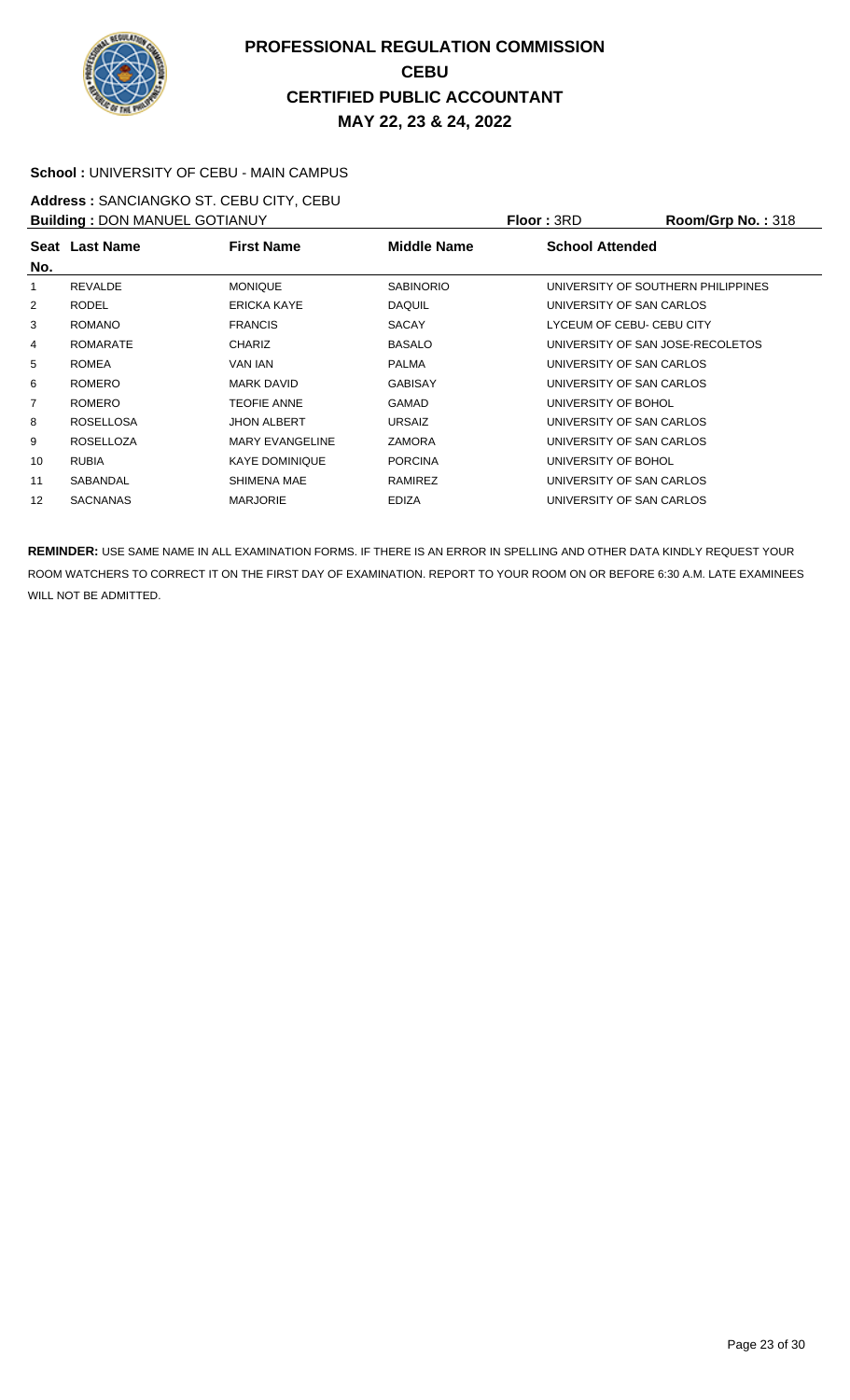

#### **School :** UNIVERSITY OF CEBU - MAIN CAMPUS

**Address :** SANCIANGKO ST. CEBU CITY, CEBU **Building : DON MANUEL GOTIANUY <b>Floor : 3RD Room/Grp No. : 318** 

| <b>BUILDING</b> . DOIN MANUEL GOTIANOT |                  |                        | 11001.911          | <b>NUUILIULU INU.</b> .JIO |                                    |
|----------------------------------------|------------------|------------------------|--------------------|----------------------------|------------------------------------|
|                                        | Seat Last Name   | <b>First Name</b>      | <b>Middle Name</b> | <b>School Attended</b>     |                                    |
| No.                                    |                  |                        |                    |                            |                                    |
| 1                                      | REVALDE          | <b>MONIQUE</b>         | <b>SABINORIO</b>   |                            | UNIVERSITY OF SOUTHERN PHILIPPINES |
| 2                                      | <b>RODEL</b>     | ERICKA KAYE            | <b>DAQUIL</b>      |                            | UNIVERSITY OF SAN CARLOS           |
| 3                                      | <b>ROMANO</b>    | <b>FRANCIS</b>         | <b>SACAY</b>       |                            | LYCEUM OF CEBU- CEBU CITY          |
| 4                                      | <b>ROMARATE</b>  | <b>CHARIZ</b>          | <b>BASALO</b>      |                            | UNIVERSITY OF SAN JOSE-RECOLETOS   |
| 5                                      | <b>ROMEA</b>     | VAN IAN                | <b>PALMA</b>       |                            | UNIVERSITY OF SAN CARLOS           |
| 6                                      | <b>ROMERO</b>    | <b>MARK DAVID</b>      | <b>GABISAY</b>     |                            | UNIVERSITY OF SAN CARLOS           |
| $\overline{7}$                         | <b>ROMERO</b>    | <b>TEOFIE ANNE</b>     | <b>GAMAD</b>       | UNIVERSITY OF BOHOL        |                                    |
| 8                                      | <b>ROSELLOSA</b> | <b>JHON ALBERT</b>     | <b>URSAIZ</b>      |                            | UNIVERSITY OF SAN CARLOS           |
| 9                                      | <b>ROSELLOZA</b> | <b>MARY EVANGELINE</b> | <b>ZAMORA</b>      |                            | UNIVERSITY OF SAN CARLOS           |
| 10                                     | <b>RUBIA</b>     | <b>KAYE DOMINIQUE</b>  | <b>PORCINA</b>     | UNIVERSITY OF BOHOL        |                                    |
| 11                                     | SABANDAL         | SHIMENA MAE            | RAMIREZ            |                            | UNIVERSITY OF SAN CARLOS           |
| 12                                     | <b>SACNANAS</b>  | <b>MARJORIE</b>        | <b>EDIZA</b>       |                            | UNIVERSITY OF SAN CARLOS           |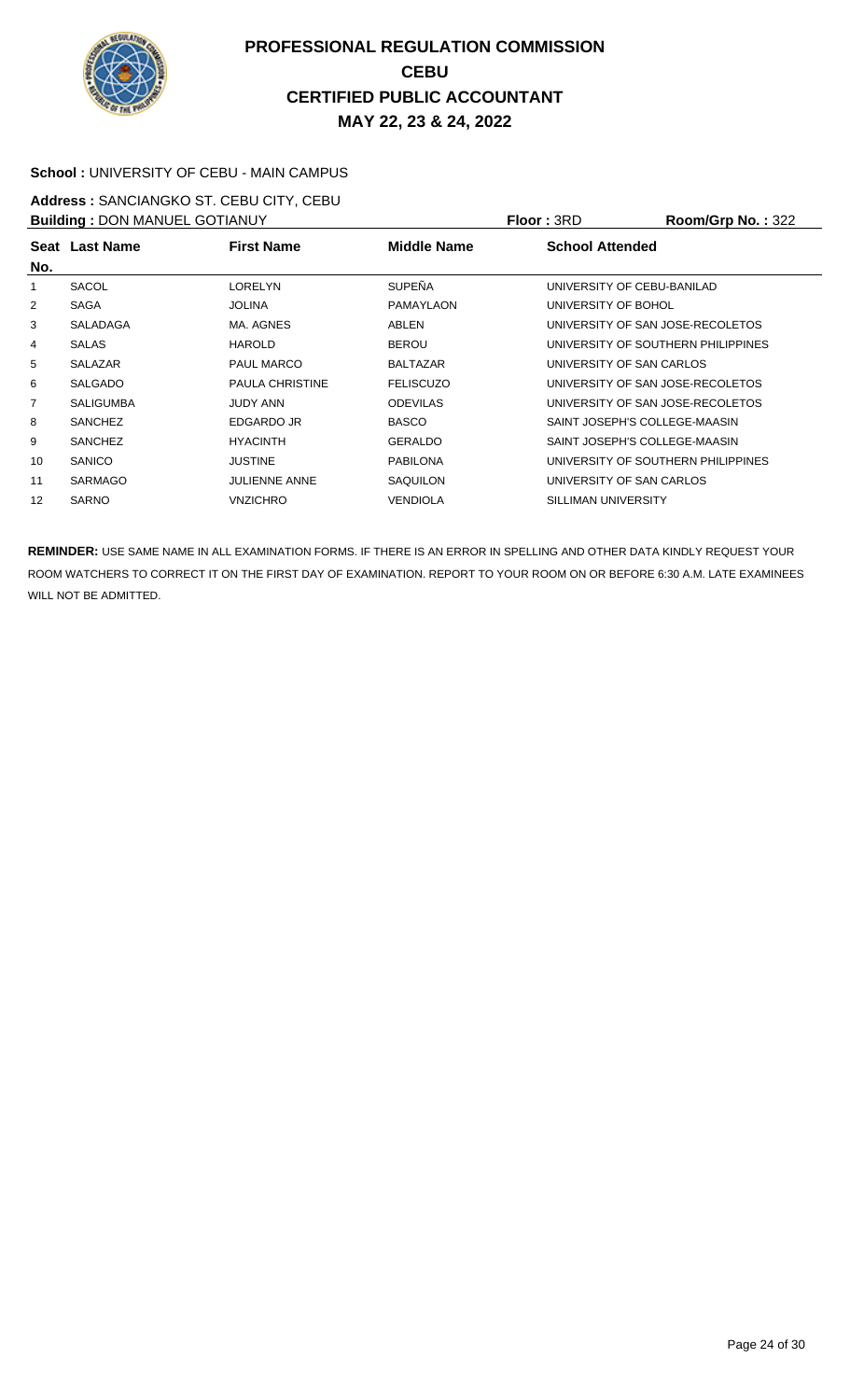

#### **School :** UNIVERSITY OF CEBU - MAIN CAMPUS

**Address :** SANCIANGKO ST. CEBU CITY, CEBU **Building :** DON MANUEL GOTIANUY **Floor :** 3RD **Room/Grp No. :** 322

| <b>BUILDING</b> . DOIN MANUEL GOTIANUT |                  |                        |                  | 11001.911              | <b>NUUIIIUU INU.</b> .JZZ          |
|----------------------------------------|------------------|------------------------|------------------|------------------------|------------------------------------|
|                                        | Seat Last Name   | <b>First Name</b>      | Middle Name      | <b>School Attended</b> |                                    |
| No.                                    |                  |                        |                  |                        |                                    |
|                                        | SACOL            | <b>LORELYN</b>         | <b>SUPEÑA</b>    |                        | UNIVERSITY OF CEBU-BANILAD         |
| 2                                      | SAGA             | <b>JOLINA</b>          | <b>PAMAYLAON</b> | UNIVERSITY OF BOHOL    |                                    |
| 3                                      | <b>SALADAGA</b>  | MA, AGNES              | ABLEN            |                        | UNIVERSITY OF SAN JOSE-RECOLETOS   |
| 4                                      | <b>SALAS</b>     | <b>HAROLD</b>          | <b>BEROU</b>     |                        | UNIVERSITY OF SOUTHERN PHILIPPINES |
| 5                                      | <b>SALAZAR</b>   | <b>PAUL MARCO</b>      | <b>BALTAZAR</b>  |                        | UNIVERSITY OF SAN CARLOS           |
| 6                                      | <b>SALGADO</b>   | <b>PAULA CHRISTINE</b> | <b>FELISCUZO</b> |                        | UNIVERSITY OF SAN JOSE-RECOLETOS   |
| $\overline{7}$                         | <b>SALIGUMBA</b> | <b>JUDY ANN</b>        | <b>ODEVILAS</b>  |                        | UNIVERSITY OF SAN JOSE-RECOLETOS   |
| 8                                      | <b>SANCHEZ</b>   | EDGARDO JR             | <b>BASCO</b>     |                        | SAINT JOSEPH'S COLLEGE-MAASIN      |
| 9                                      | <b>SANCHEZ</b>   | <b>HYACINTH</b>        | <b>GERALDO</b>   |                        | SAINT JOSEPH'S COLLEGE-MAASIN      |
| 10                                     | <b>SANICO</b>    | <b>JUSTINE</b>         | <b>PABILONA</b>  |                        | UNIVERSITY OF SOUTHERN PHILIPPINES |
| 11                                     | <b>SARMAGO</b>   | <b>JULIENNE ANNE</b>   | <b>SAQUILON</b>  |                        | UNIVERSITY OF SAN CARLOS           |
| 12                                     | <b>SARNO</b>     | VNZICHRO               | <b>VENDIOLA</b>  | SILLIMAN UNIVERSITY    |                                    |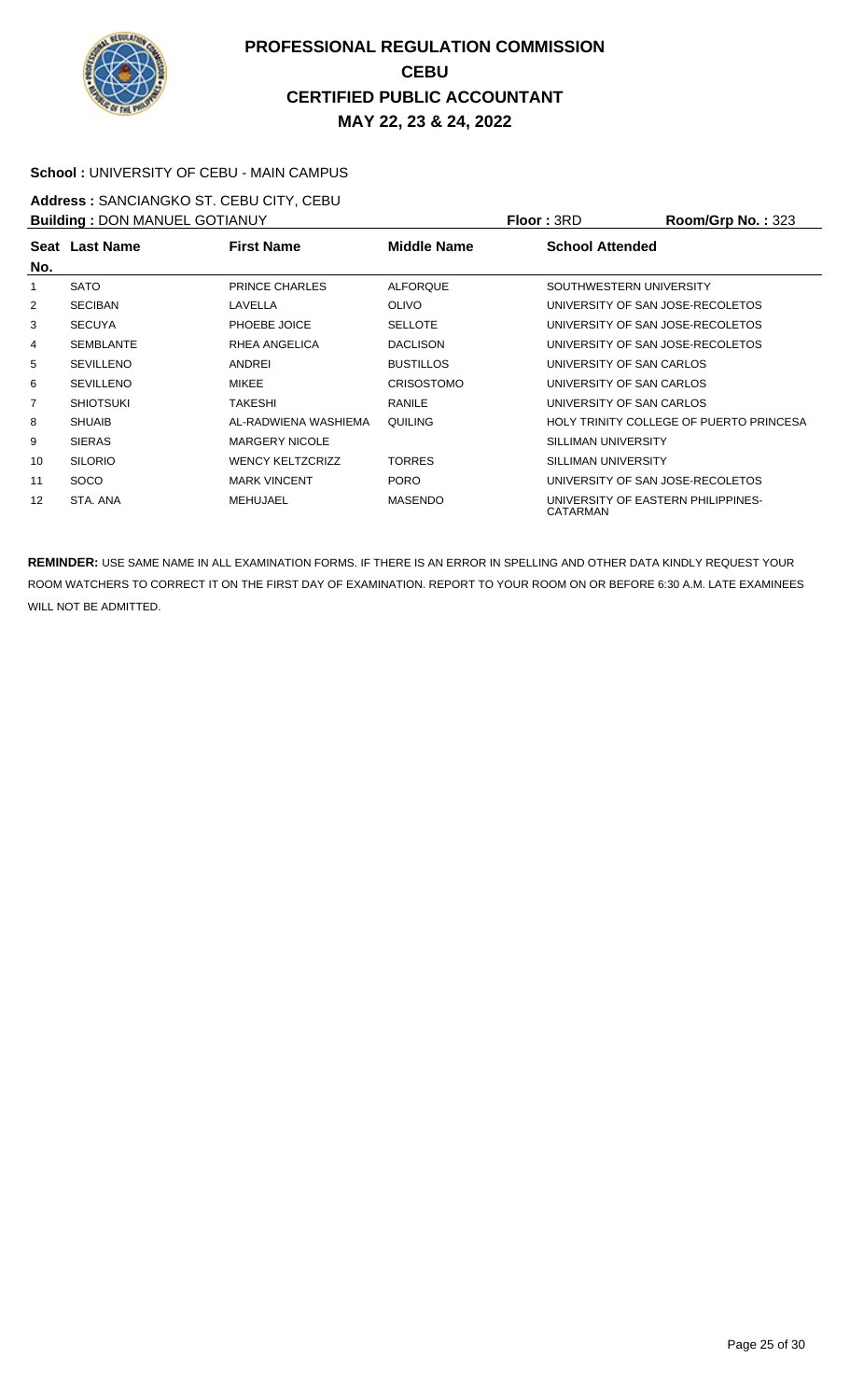

#### **School :** UNIVERSITY OF CEBU - MAIN CAMPUS

**Address :** SANCIANGKO ST. CEBU CITY, CEBU **Building : DON MANUEL GOTIANUY <b>Floor : 3RD Room/Grp No. : 323** 

|     | <b>BUILDING . DOIN MANUEL GOTTAING I</b> |                         |                   | FIUUL.JND                                      | <b>NUUIIIUI U INU.</b> . JZJ            |
|-----|------------------------------------------|-------------------------|-------------------|------------------------------------------------|-----------------------------------------|
| No. | Seat Last Name                           | <b>First Name</b>       | Middle Name       | <b>School Attended</b>                         |                                         |
| 1   | <b>SATO</b>                              | <b>PRINCE CHARLES</b>   | <b>ALFORQUE</b>   | SOUTHWESTERN UNIVERSITY                        |                                         |
| 2   | <b>SECIBAN</b>                           | LAVELLA                 | <b>OLIVO</b>      | UNIVERSITY OF SAN JOSE-RECOLETOS               |                                         |
| 3   | <b>SECUYA</b>                            | PHOEBE JOICE            | <b>SELLOTE</b>    | UNIVERSITY OF SAN JOSE-RECOLETOS               |                                         |
| 4   | <b>SEMBLANTE</b>                         | RHEA ANGELICA           | <b>DACLISON</b>   | UNIVERSITY OF SAN JOSE-RECOLETOS               |                                         |
| 5   | <b>SEVILLENO</b>                         | ANDREI                  | <b>BUSTILLOS</b>  | UNIVERSITY OF SAN CARLOS                       |                                         |
| 6   | <b>SEVILLENO</b>                         | <b>MIKEE</b>            | <b>CRISOSTOMO</b> | UNIVERSITY OF SAN CARLOS                       |                                         |
| 7   | <b>SHIOTSUKI</b>                         | <b>TAKESHI</b>          | <b>RANILE</b>     | UNIVERSITY OF SAN CARLOS                       |                                         |
| 8   | <b>SHUAIB</b>                            | AL-RADWIENA WASHIEMA    | QUILING           |                                                | HOLY TRINITY COLLEGE OF PUERTO PRINCESA |
| 9   | <b>SIERAS</b>                            | <b>MARGERY NICOLE</b>   |                   | SILLIMAN UNIVERSITY                            |                                         |
| 10  | <b>SILORIO</b>                           | <b>WENCY KELTZCRIZZ</b> | <b>TORRES</b>     | SILLIMAN UNIVERSITY                            |                                         |
| 11  | <b>SOCO</b>                              | <b>MARK VINCENT</b>     | <b>PORO</b>       | UNIVERSITY OF SAN JOSE-RECOLETOS               |                                         |
| 12  | STA, ANA                                 | <b>MEHUJAEL</b>         | <b>MASENDO</b>    | UNIVERSITY OF EASTERN PHILIPPINES-<br>CATARMAN |                                         |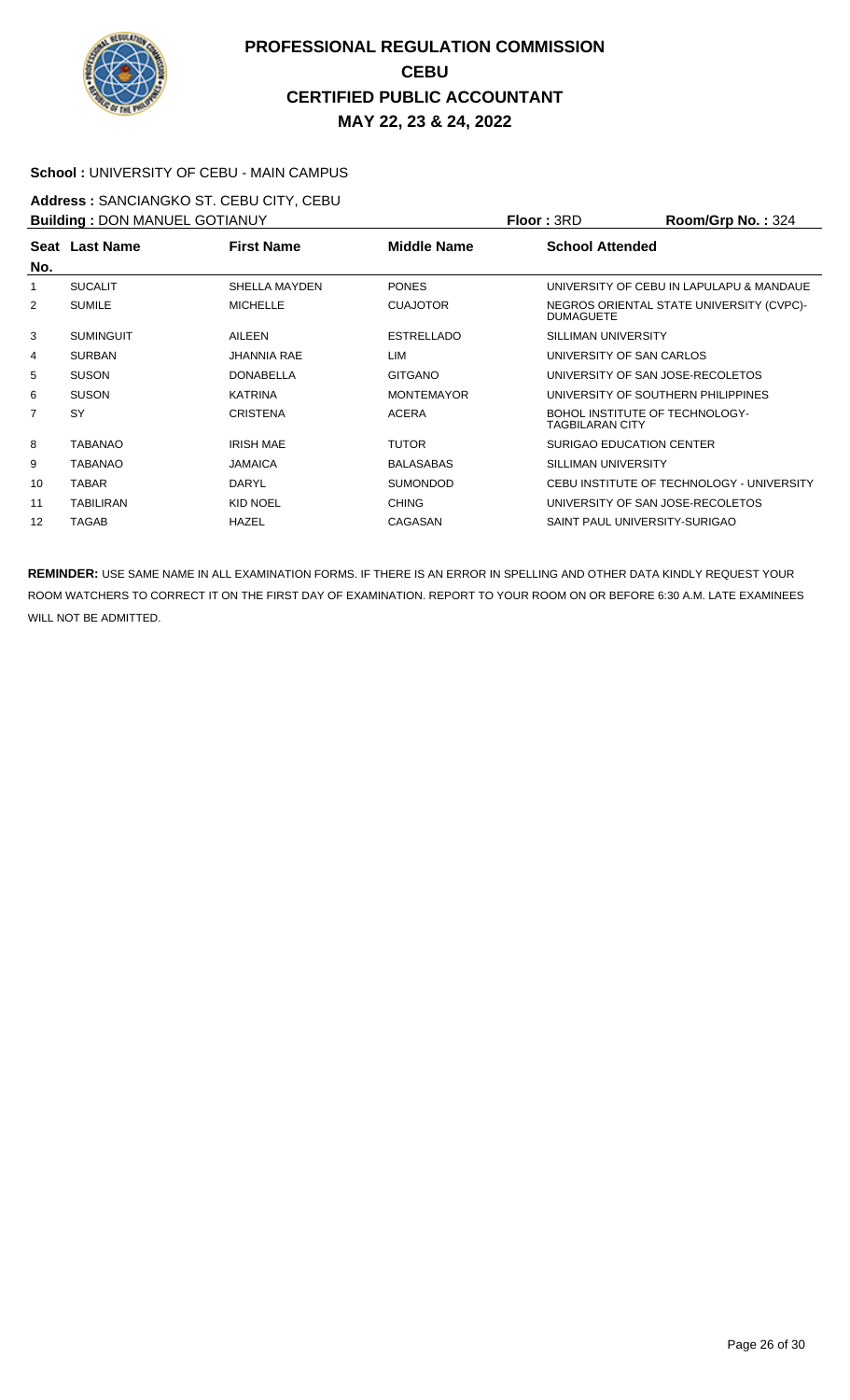

#### **School :** UNIVERSITY OF CEBU - MAIN CAMPUS

**Address :** SANCIANGKO ST. CEBU CITY, CEBU **Building : DON MANUEL GOTIANUY <b>Floor Floor** : **3RD Room/Grp No. : <sup>324</sup>** 

|     | <b>BUILDING : DON MANUEL GOTTANUT</b> |                      |                    | FIOOI : JRU                                              | <b>ROOIII/UID NO. .</b> 324               |
|-----|---------------------------------------|----------------------|--------------------|----------------------------------------------------------|-------------------------------------------|
| No. | Seat Last Name                        | <b>First Name</b>    | <b>Middle Name</b> | <b>School Attended</b>                                   |                                           |
| 1   | <b>SUCALIT</b>                        | <b>SHELLA MAYDEN</b> | <b>PONES</b>       |                                                          | UNIVERSITY OF CEBU IN LAPULAPU & MANDAUE  |
| 2   | <b>SUMILE</b>                         | <b>MICHELLE</b>      | <b>CUAJOTOR</b>    | <b>DUMAGUETE</b>                                         | NEGROS ORIENTAL STATE UNIVERSITY (CVPC)-  |
| 3   | <b>SUMINGUIT</b>                      | AILEEN               | <b>ESTRELLADO</b>  | SILLIMAN UNIVERSITY                                      |                                           |
| 4   | <b>SURBAN</b>                         | <b>JHANNIA RAE</b>   | LIM                | UNIVERSITY OF SAN CARLOS                                 |                                           |
| 5   | <b>SUSON</b>                          | <b>DONABELLA</b>     | <b>GITGANO</b>     | UNIVERSITY OF SAN JOSE-RECOLETOS                         |                                           |
| 6   | <b>SUSON</b>                          | <b>KATRINA</b>       | <b>MONTEMAYOR</b>  | UNIVERSITY OF SOUTHERN PHILIPPINES                       |                                           |
| 7   | SY                                    | <b>CRISTENA</b>      | <b>ACERA</b>       | BOHOL INSTITUTE OF TECHNOLOGY-<br><b>TAGBILARAN CITY</b> |                                           |
| 8   | <b>TABANAO</b>                        | <b>IRISH MAE</b>     | <b>TUTOR</b>       | SURIGAO EDUCATION CENTER                                 |                                           |
| 9   | TABANAO                               | <b>JAMAICA</b>       | <b>BALASABAS</b>   | SILLIMAN UNIVERSITY                                      |                                           |
| 10  | <b>TABAR</b>                          | <b>DARYL</b>         | <b>SUMONDOD</b>    |                                                          | CEBU INSTITUTE OF TECHNOLOGY - UNIVERSITY |
| 11  | <b>TABILIRAN</b>                      | KID NOEL             | <b>CHING</b>       | UNIVERSITY OF SAN JOSE-RECOLETOS                         |                                           |
| 12  | TAGAB                                 | <b>HAZEL</b>         | CAGASAN            | SAINT PAUL UNIVERSITY-SURIGAO                            |                                           |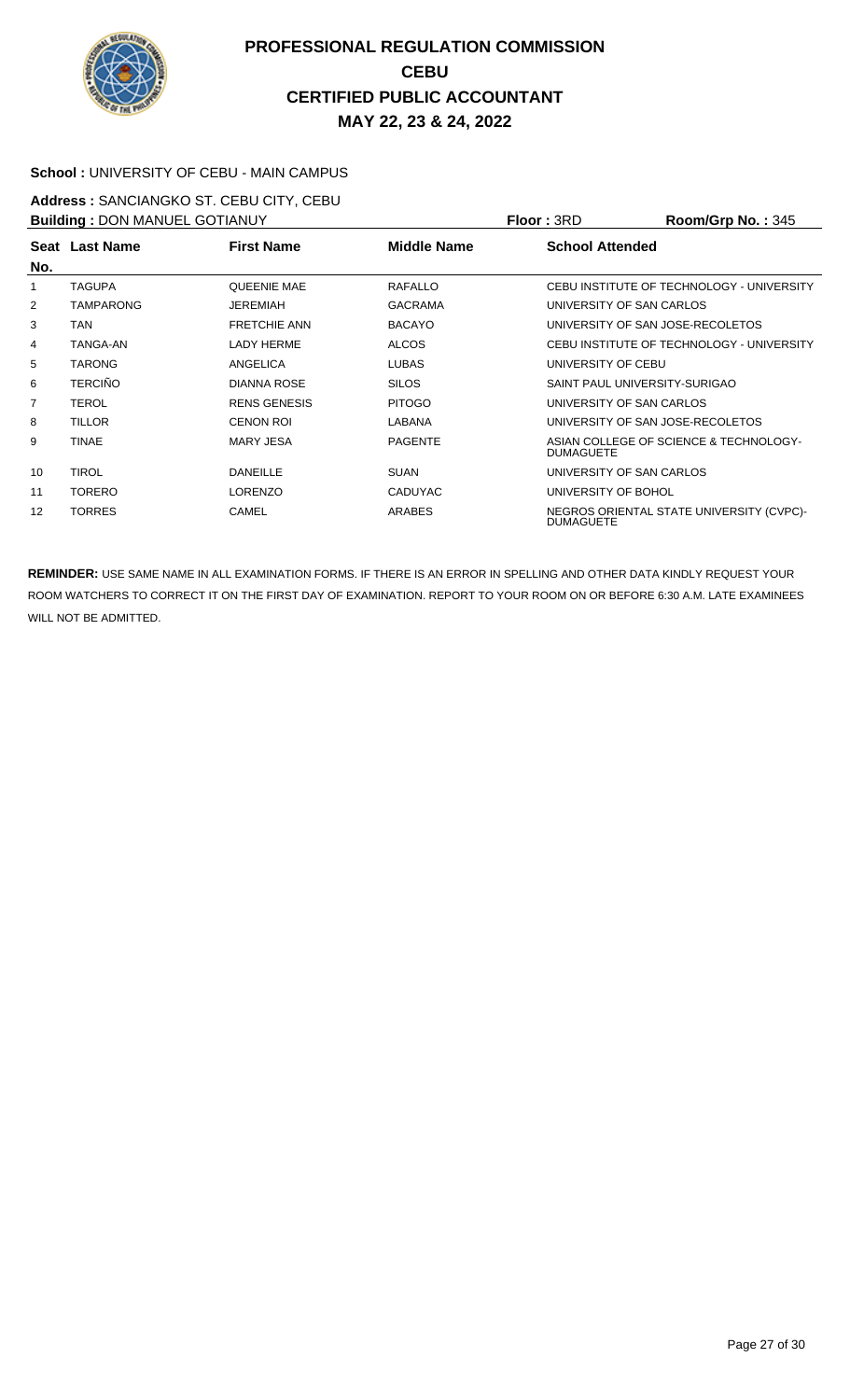

#### **School :** UNIVERSITY OF CEBU - MAIN CAMPUS

**Address :** SANCIANGKO ST. CEBU CITY, CEBU **Building : DON MANUEL GOTIANUY <b>Floor : 3RD Room/Grp No. : 345** 

|     | <b>BUILDING . DUIN MANUEL GUTTANUT</b> |                     | FIUUL.JRD      | <b>RUUIIIUUI DI NU.</b> . 343 |                                           |
|-----|----------------------------------------|---------------------|----------------|-------------------------------|-------------------------------------------|
| No. | Seat Last Name                         | <b>First Name</b>   | Middle Name    | <b>School Attended</b>        |                                           |
| 1   | <b>TAGUPA</b>                          | <b>QUEENIE MAE</b>  | <b>RAFALLO</b> |                               | CEBU INSTITUTE OF TECHNOLOGY - UNIVERSITY |
| 2   | <b>TAMPARONG</b>                       | <b>JEREMIAH</b>     | <b>GACRAMA</b> | UNIVERSITY OF SAN CARLOS      |                                           |
| 3   | TAN                                    | <b>FRETCHIE ANN</b> | <b>BACAYO</b>  |                               | UNIVERSITY OF SAN JOSE-RECOLETOS          |
| 4   | TANGA-AN                               | <b>LADY HERME</b>   | <b>ALCOS</b>   |                               | CEBU INSTITUTE OF TECHNOLOGY - UNIVERSITY |
| 5   | <b>TARONG</b>                          | ANGELICA            | <b>LUBAS</b>   | UNIVERSITY OF CEBU            |                                           |
| 6   | <b>TERCIÑO</b>                         | <b>DIANNA ROSE</b>  | <b>SILOS</b>   |                               | SAINT PAUL UNIVERSITY-SURIGAO             |
| 7   | TEROL                                  | <b>RENS GENESIS</b> | <b>PITOGO</b>  | UNIVERSITY OF SAN CARLOS      |                                           |
| 8   | <b>TILLOR</b>                          | <b>CENON ROL</b>    | LABANA         |                               | UNIVERSITY OF SAN JOSE-RECOLETOS          |
| 9   | TINAE                                  | <b>MARY JESA</b>    | <b>PAGENTE</b> | <b>DUMAGUETE</b>              | ASIAN COLLEGE OF SCIENCE & TECHNOLOGY-    |
| 10  | <b>TIROL</b>                           | <b>DANEILLE</b>     | <b>SUAN</b>    | UNIVERSITY OF SAN CARLOS      |                                           |
| 11  | <b>TORERO</b>                          | <b>LORENZO</b>      | <b>CADUYAC</b> | UNIVERSITY OF BOHOL           |                                           |
| 12  | <b>TORRES</b>                          | <b>CAMEL</b>        | <b>ARABES</b>  | <b>DUMAGUETE</b>              | NEGROS ORIENTAL STATE UNIVERSITY (CVPC)-  |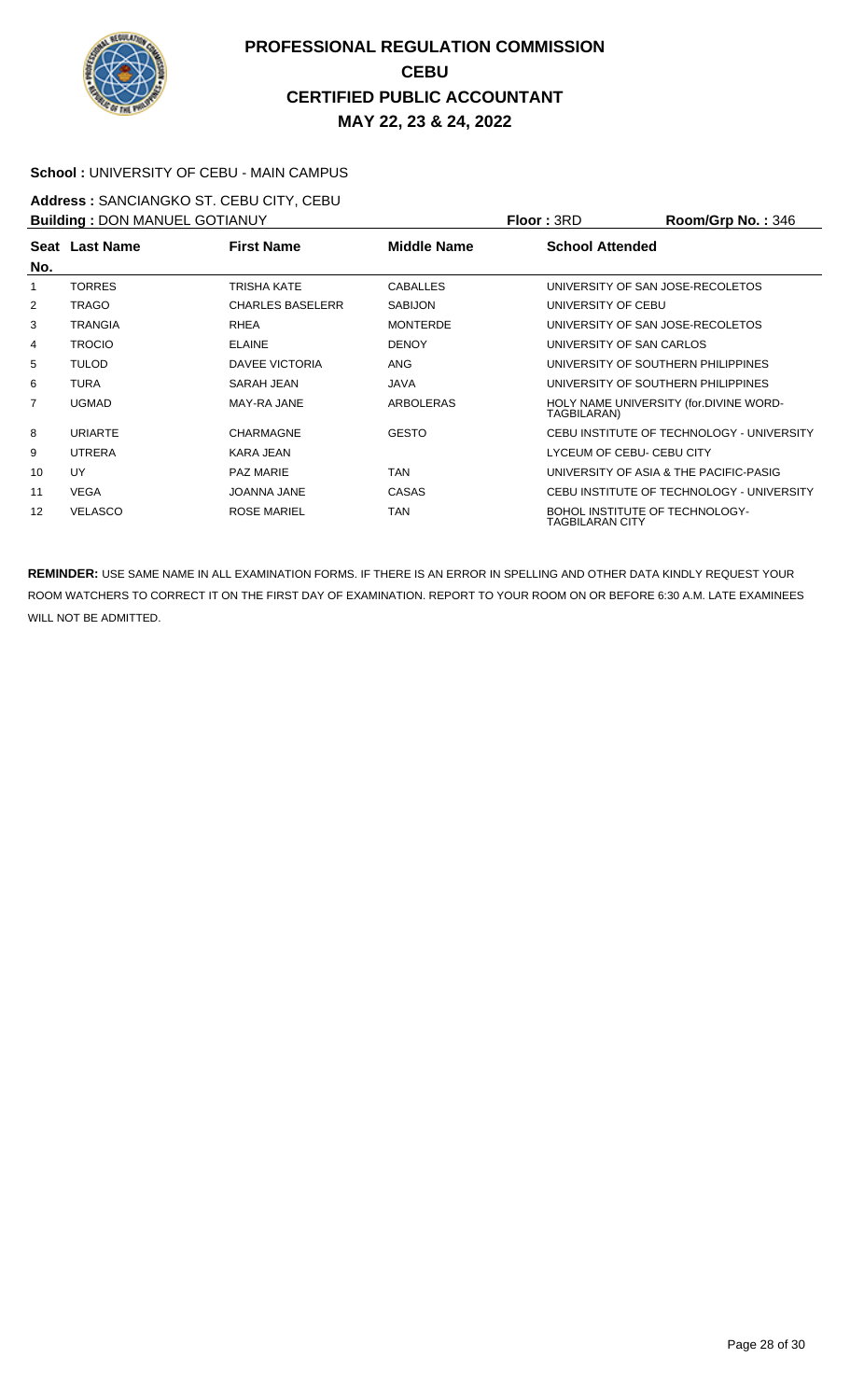

#### **School :** UNIVERSITY OF CEBU - MAIN CAMPUS

**Address :** SANCIANGKO ST. CEBU CITY, CEBU **Building :** DON MANUEL GOTIANUY **Floor :** 3RD **Room/Grp No. :** 346

|     | <b>BUILDING . DOIN MANUEL GOTTAING I</b> |                         | FIUUL.JND       | <b>0+0. ס+ט אין טויטש</b> |                                           |
|-----|------------------------------------------|-------------------------|-----------------|---------------------------|-------------------------------------------|
|     | Seat Last Name                           | <b>First Name</b>       | Middle Name     | <b>School Attended</b>    |                                           |
| No. |                                          |                         |                 |                           |                                           |
| 1   | <b>TORRES</b>                            | TRISHA KATE             | <b>CABALLES</b> |                           | UNIVERSITY OF SAN JOSE-RECOLETOS          |
| 2   | TRAGO                                    | <b>CHARLES BASELERR</b> | <b>SABIJON</b>  | UNIVERSITY OF CEBU        |                                           |
| 3   | <b>TRANGIA</b>                           | <b>RHEA</b>             | <b>MONTERDE</b> |                           | UNIVERSITY OF SAN JOSE-RECOLETOS          |
| 4   | <b>TROCIO</b>                            | <b>ELAINE</b>           | <b>DENOY</b>    | UNIVERSITY OF SAN CARLOS  |                                           |
| 5   | TULOD                                    | DAVEE VICTORIA          | <b>ANG</b>      |                           | UNIVERSITY OF SOUTHERN PHILIPPINES        |
| 6   | TURA                                     | SARAH JEAN              | <b>JAVA</b>     |                           | UNIVERSITY OF SOUTHERN PHILIPPINES        |
| 7   | <b>UGMAD</b>                             | MAY-RA JANE             | ARBOLERAS       | TAGBILARAN)               | HOLY NAME UNIVERSITY (for.DIVINE WORD-    |
| 8   | <b>URIARTE</b>                           | <b>CHARMAGNE</b>        | <b>GESTO</b>    |                           | CEBU INSTITUTE OF TECHNOLOGY - UNIVERSITY |
| 9   | <b>UTRERA</b>                            | <b>KARA JEAN</b>        |                 |                           | LYCEUM OF CEBU- CEBU CITY                 |
| 10  | <b>UY</b>                                | <b>PAZ MARIE</b>        | TAN             |                           | UNIVERSITY OF ASIA & THE PACIFIC-PASIG    |
| 11  | <b>VEGA</b>                              | <b>JOANNA JANE</b>      | <b>CASAS</b>    |                           | CEBU INSTITUTE OF TECHNOLOGY - UNIVERSITY |
| 12  | <b>VELASCO</b>                           | <b>ROSE MARIEL</b>      | TAN             | TAGBILARAN CITY           | <b>BOHOL INSTITUTE OF TECHNOLOGY-</b>     |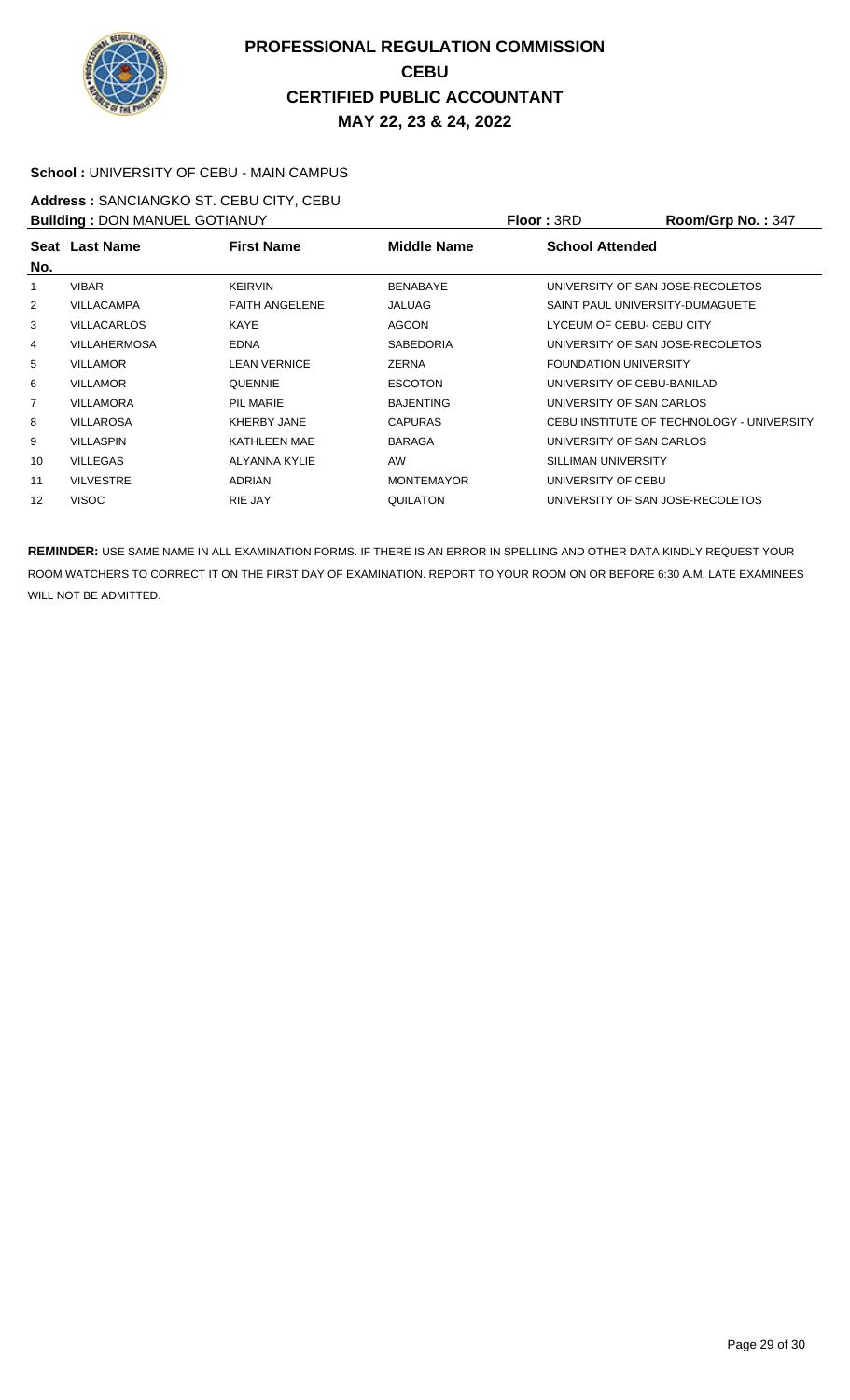

#### **School :** UNIVERSITY OF CEBU - MAIN CAMPUS

**Address :** SANCIANGKO ST. CEBU CITY, CEBU **Building :** DON MANUEL GOTIANUY **Floor :** 3RD **Room/Grp No. :** 347

| <b>BUILDING A LOOK IN ANDEL GOT IANOT</b> |                     |                       |                    | FIUUL OND                        | <u> וייטען עונטשטא</u>                    |
|-------------------------------------------|---------------------|-----------------------|--------------------|----------------------------------|-------------------------------------------|
| No.                                       | Seat Last Name      | <b>First Name</b>     | <b>Middle Name</b> | <b>School Attended</b>           |                                           |
| 1                                         | <b>VIBAR</b>        | <b>KEIRVIN</b>        | <b>BENABAYE</b>    | UNIVERSITY OF SAN JOSE-RECOLETOS |                                           |
| 2                                         | VILLACAMPA          | <b>FAITH ANGELENE</b> | <b>JALUAG</b>      | SAINT PAUL UNIVERSITY-DUMAGUETE  |                                           |
| 3                                         | <b>VILLACARLOS</b>  | KAYE                  | <b>AGCON</b>       | LYCEUM OF CEBU- CEBU CITY        |                                           |
| 4                                         | <b>VILLAHERMOSA</b> | <b>EDNA</b>           | <b>SABEDORIA</b>   | UNIVERSITY OF SAN JOSE-RECOLETOS |                                           |
| 5                                         | <b>VILLAMOR</b>     | <b>LEAN VERNICE</b>   | <b>ZERNA</b>       | <b>FOUNDATION UNIVERSITY</b>     |                                           |
| 6                                         | <b>VILLAMOR</b>     | <b>QUENNIE</b>        | <b>ESCOTON</b>     | UNIVERSITY OF CEBU-BANILAD       |                                           |
| 7                                         | VILLAMORA           | PIL MARIE             | <b>BAJENTING</b>   | UNIVERSITY OF SAN CARLOS         |                                           |
| 8                                         | <b>VILLAROSA</b>    | KHERBY JANE           | <b>CAPURAS</b>     |                                  | CEBU INSTITUTE OF TECHNOLOGY - UNIVERSITY |
| 9                                         | <b>VILLASPIN</b>    | KATHLEEN MAE          | <b>BARAGA</b>      | UNIVERSITY OF SAN CARLOS         |                                           |
| 10                                        | <b>VILLEGAS</b>     | ALYANNA KYLIE         | AW                 | SILLIMAN UNIVERSITY              |                                           |
| 11                                        | <b>VILVESTRE</b>    | <b>ADRIAN</b>         | <b>MONTEMAYOR</b>  | UNIVERSITY OF CEBU               |                                           |
| 12                                        | <b>VISOC</b>        | <b>RIE JAY</b>        | <b>QUILATON</b>    | UNIVERSITY OF SAN JOSE-RECOLETOS |                                           |
|                                           |                     |                       |                    |                                  |                                           |